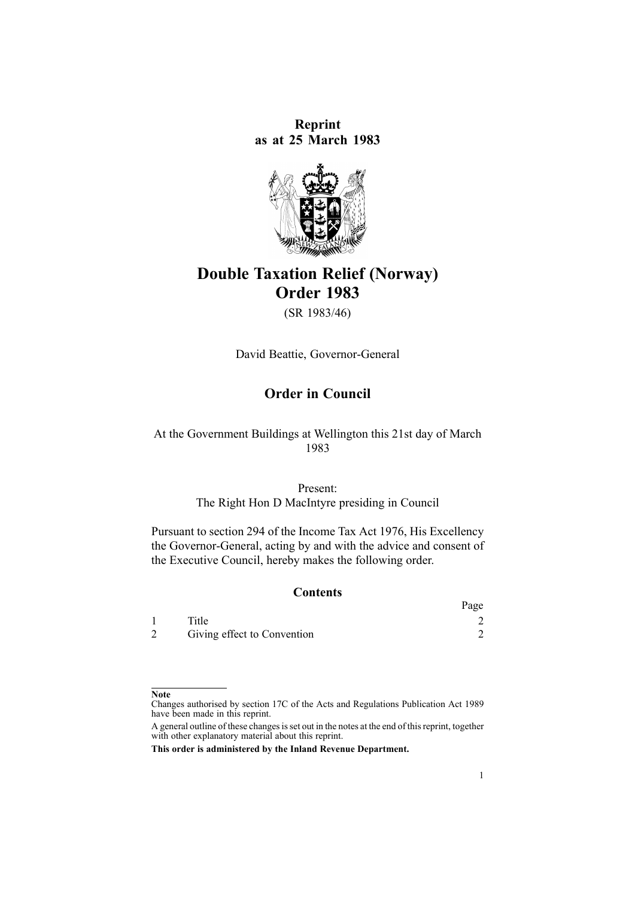**Reprint as at 25 March 1983**



# **Double Taxation Relief (Norway) Order 1983**

(SR 1983/46)

David Beattie, Governor-General

# **Order in Council**

### At the Government Buildings at Wellington this 21st day of March 1983

#### Present: The Right Hon D MacIntyre presiding in Council

Pursuant to section 294 of the Income Tax Act 1976, His Excellency the Governor-General, acting by and with the advice and consent of the Executive Council, hereby makes the following order.

#### **Contents**

|                             | Page |
|-----------------------------|------|
| Title                       |      |
| Giving effect to Convention |      |

#### **Note**

Changes authorised by [section](http://www.legislation.govt.nz/pdflink.aspx?id=DLM195466) 17C of the Acts and Regulations Publication Act 1989 have been made in this reprint.

A general outline of these changes is set out in the notes at the end of this reprint, together with other explanatory material about this reprint.

**This order is administered by the Inland Revenue Department.**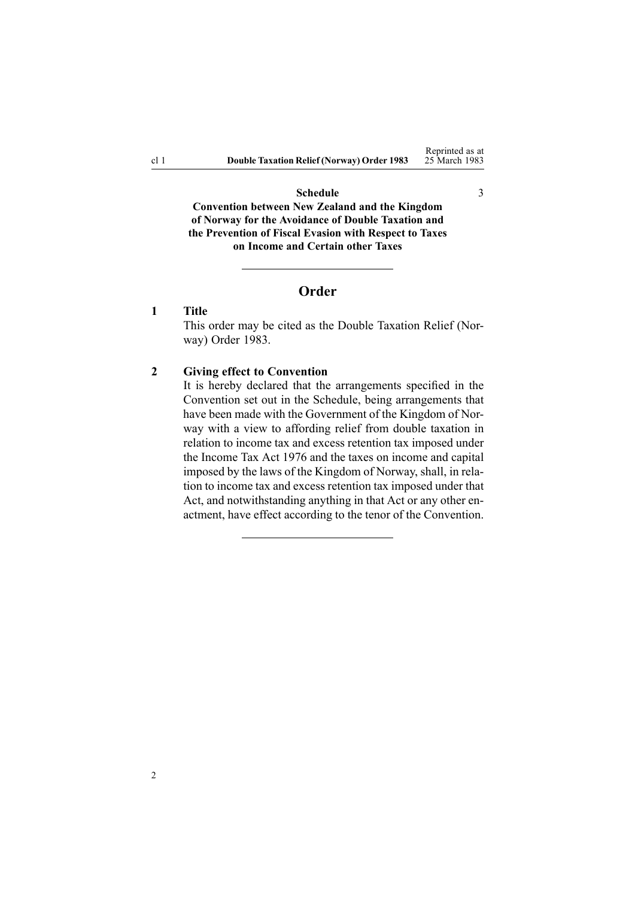### **[Schedule](#page-2-0)** [3](#page-2-0)

<span id="page-1-0"></span>**Convention between New Zealand and the [Kingdom](#page-2-0) of Norway for the [Avoidance](#page-2-0) of Double Taxation and the [Prevention](#page-2-0) of Fiscal Evasion with Respect to Taxes on Income and [Certain](#page-2-0) other Taxes**

### **Order**

### **1 Title**

This order may be cited as the Double Taxation Relief (Norway) Order 1983.

### **2 Giving effect to Convention**

It is hereby declared that the arrangements specified in the Convention set out in the Schedule, being arrangements that have been made with the Government of the Kingdom of Norway with <sup>a</sup> view to affording relief from double taxation in relation to income tax and excess retention tax imposed under the Income Tax Act 1976 and the taxes on income and capital imposed by the laws of the Kingdom of Norway, shall, in relation to income tax and excess retention tax imposed under that Act, and notwithstanding anything in that Act or any other enactment, have effect according to the tenor of the Convention.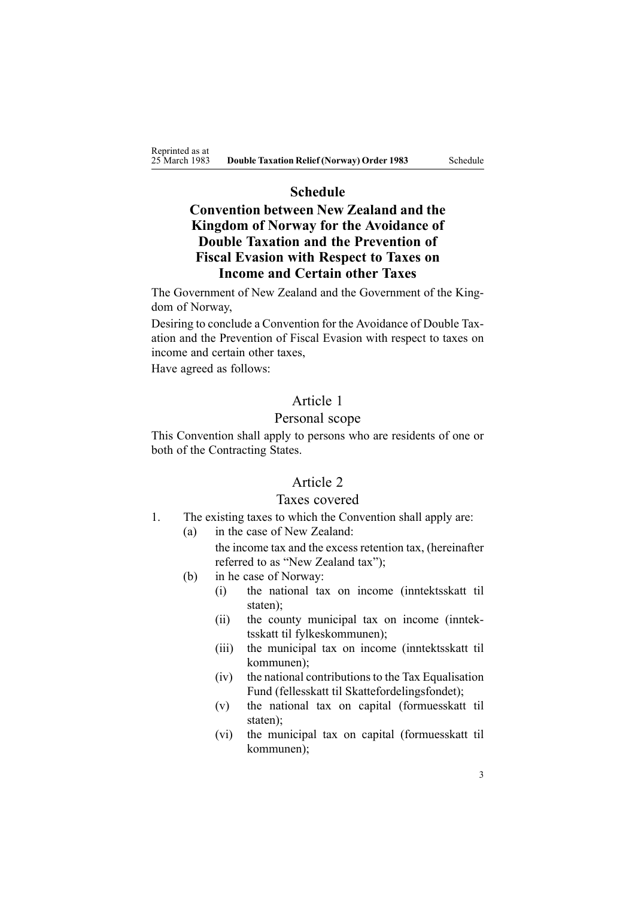### **Schedule**

# <span id="page-2-0"></span>**Convention between New Zealand and the Kingdom of Norway for the Avoidance of Double Taxation and the Prevention of Fiscal Evasion with Respect to Taxes on Income and Certain other Taxes**

The Government of New Zealand and the Government of the Kingdom of Norway,

Desiring to conclude <sup>a</sup> Convention for the Avoidance of Double Taxation and the Prevention of Fiscal Evasion with respec<sup>t</sup> to taxes on income and certain other taxes,

Have agreed as follows:

# Article 1

# Personal scope

This Convention shall apply to persons who are residents of one or both of the Contracting States.

# Article 2

#### Taxes covered

- 1. The existing taxes to which the Convention shall apply are:
	- (a) in the case of New Zealand: the income tax and the excess retention tax, (hereinafter referred to as "New Zealand tax");
	- (b) in he case of Norway:
		- (i) the national tax on income (inntektsskatt til staten);
		- (ii) the county municipal tax on income (inntektsskatt til fylkeskommunen);
		- (iii) the municipal tax on income (inntektsskatt til kommunen);
		- (iv) the national contributions to the Tax Equalisation Fund (fellesskatt til Skattefordelingsfondet);
		- (v) the national tax on capital (formuesskatt til staten);
		- (vi) the municipal tax on capital (formuesskatt til kommunen);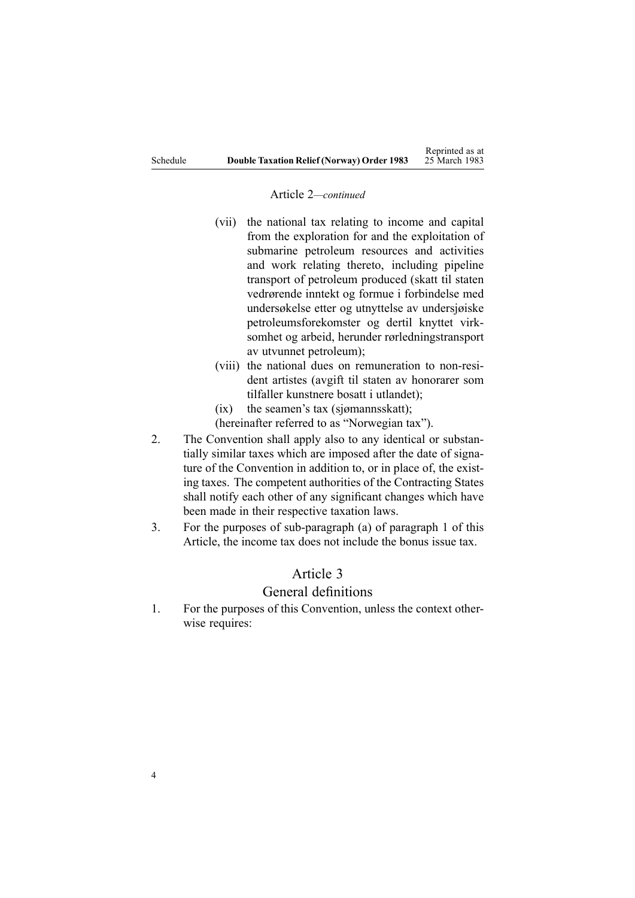#### Article 2*—continued*

- (vii) the national tax relating to income and capital from the exploration for and the exploitation of submarine petroleum resources and activities and work relating thereto, including pipeline transport of petroleum produced (skatt til staten vedrørende inntekt og formue i forbindelse med undersøkelse etter og utnyttelse av undersjøiske petroleumsforekomster og dertil knyttet virksomhet og arbeid, herunder rørledningstransport av utvunnet petroleum);
- (viii) the national dues on remuneration to non-resident artistes (avgift til staten av honorarer som tilfaller kunstnere bosatt i utlandet);
- (ix) the seamen's tax (sjømannsskatt);
- (hereinafter referred to as "Norwegian tax").
- 2. The Convention shall apply also to any identical or substantially similar taxes which are imposed after the date of signature of the Convention in addition to, or in place of, the existing taxes. The competent authorities of the Contracting States shall notify each other of any significant changes which have been made in their respective taxation laws.
- 3. For the purposes of sub-paragraph (a) of paragraph 1 of this Article, the income tax does not include the bonus issue tax.

# Article 3

### General definitions

1. For the purposes of this Convention, unless the context otherwise requires: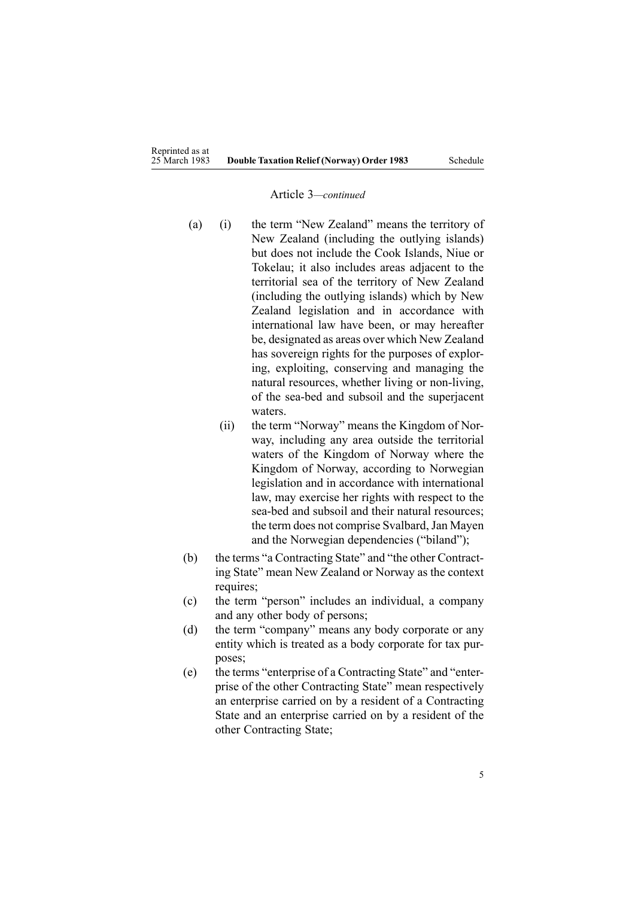#### Article 3*—continued*

- (a) (i) the term "New Zealand" means the territory of New Zealand (including the outlying islands) but does not include the Cook Islands, Niue or Tokelau; it also includes areas adjacent to the territorial sea of the territory of New Zealand (including the outlying islands) which by New Zealand legislation and in accordance with international law have been, or may hereafter be, designated as areas over which New Zealand has sovereign rights for the purposes of exploring, exploiting, conserving and managing the natural resources, whether living or non-living, of the sea-bed and subsoil and the superjacent waters.
	- (ii) the term "Norway" means the Kingdom of Norway, including any area outside the territorial waters of the Kingdom of Norway where the Kingdom of Norway, according to Norwegian legislation and in accordance with international law, may exercise her rights with respec<sup>t</sup> to the sea-bed and subsoil and their natural resources; the term does not comprise Svalbard, Jan Mayen and the Norwegian dependencies ("biland");
- (b) the terms "a Contracting State" and "the other Contracting State" mean New Zealand or Norway as the context requires;
- (c) the term "person" includes an individual, <sup>a</sup> company and any other body of persons;
- (d) the term "company" means any body corporate or any entity which is treated as <sup>a</sup> body corporate for tax purposes;
- (e) the terms "enterprise of <sup>a</sup> Contracting State" and "enterprise of the other Contracting State" mean respectively an enterprise carried on by <sup>a</sup> resident of <sup>a</sup> Contracting State and an enterprise carried on by <sup>a</sup> resident of the other Contracting State;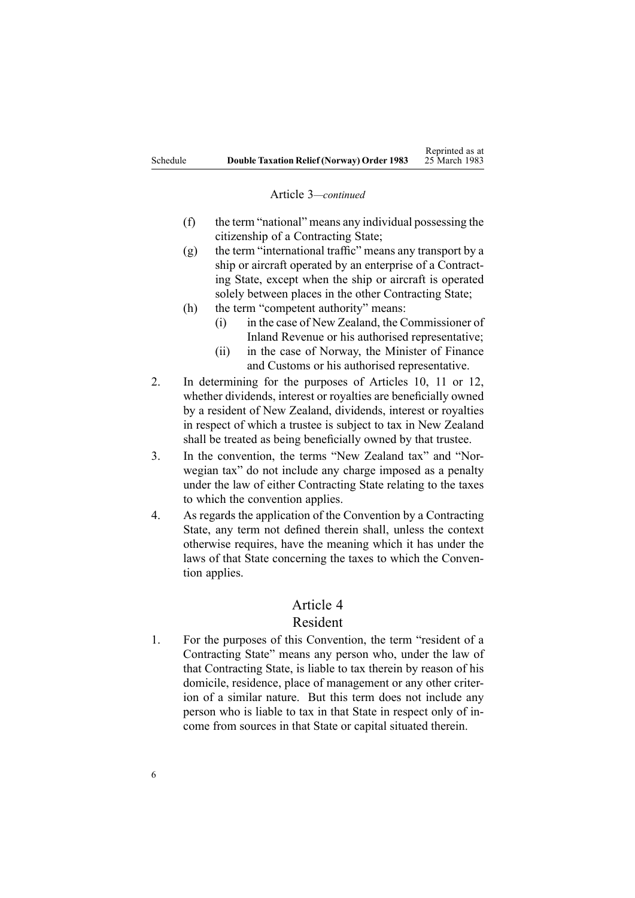Article 3*—continued*

- (f) the term "national" means any individual possessing the citizenship of <sup>a</sup> Contracting State;
- (g) the term "international traffic" means any transport by <sup>a</sup> ship or aircraft operated by an enterprise of <sup>a</sup> Contracting State, excep<sup>t</sup> when the ship or aircraft is operated solely between places in the other Contracting State;
- (h) the term "competent authority" means:
	- (i) in the case of New Zealand, the Commissioner of Inland Revenue or his authorised representative;
	- (ii) in the case of Norway, the Minister of Finance and Customs or his authorised representative.
- 2. In determining for the purposes of Articles 10, 11 or 12, whether dividends, interest or royalties are beneficially owned by <sup>a</sup> resident of New Zealand, dividends, interest or royalties in respec<sup>t</sup> of which <sup>a</sup> trustee is subject to tax in New Zealand shall be treated as being beneficially owned by that trustee.
- 3. In the convention, the terms "New Zealand tax" and "Norwegian tax" do not include any charge imposed as <sup>a</sup> penalty under the law of either Contracting State relating to the taxes to which the convention applies.
- 4. As regards the application of the Convention by <sup>a</sup> Contracting State, any term not defined therein shall, unless the context otherwise requires, have the meaning which it has under the laws of that State concerning the taxes to which the Convention applies.

#### Article 4

#### Resident

1. For the purposes of this Convention, the term "resident of <sup>a</sup> Contracting State" means any person who, under the law of that Contracting State, is liable to tax therein by reason of his domicile, residence, place of managemen<sup>t</sup> or any other criterion of <sup>a</sup> similar nature. But this term does not include any person who is liable to tax in that State in respec<sup>t</sup> only of income from sources in that State or capital situated therein.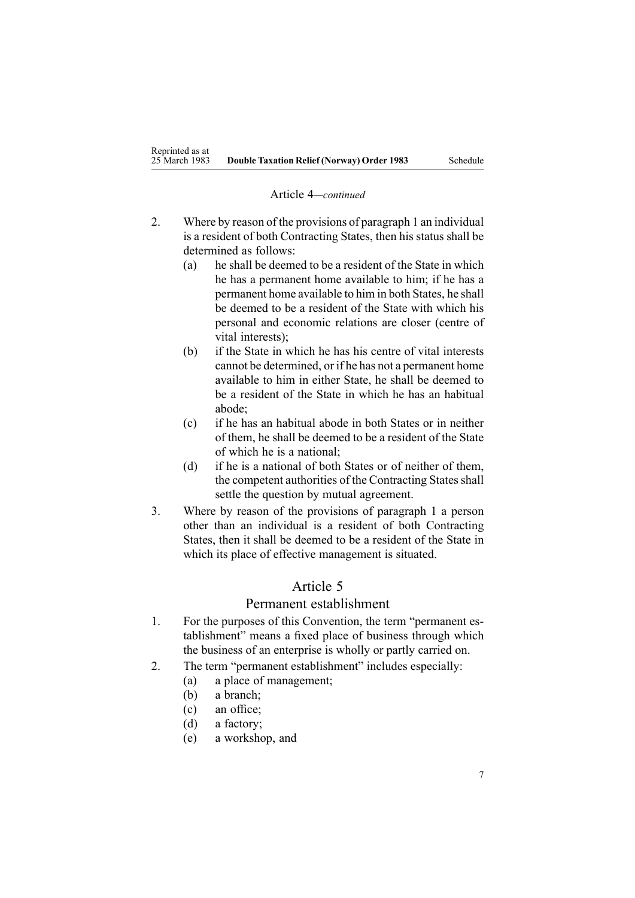#### Article 4*—continued*

- 2. Where by reason of the provisions of paragraph 1 an individual is <sup>a</sup> resident of both Contracting States, then his status shall be determined as follows:
	- (a) he shall be deemed to be <sup>a</sup> resident of the State in which he has <sup>a</sup> permanen<sup>t</sup> home available to him; if he has <sup>a</sup> permanen<sup>t</sup> home available to him in both States, he shall be deemed to be <sup>a</sup> resident of the State with which his personal and economic relations are closer (centre of vital interests);
	- (b) if the State in which he has his centre of vital interests cannot be determined, or if he has not <sup>a</sup> permanen<sup>t</sup> home available to him in either State, he shall be deemed to be <sup>a</sup> resident of the State in which he has an habitual abode;
	- (c) if he has an habitual abode in both States or in neither of them, he shall be deemed to be <sup>a</sup> resident of the State of which he is <sup>a</sup> national;
	- (d) if he is <sup>a</sup> national of both States or of neither of them, the competent authorities of the Contracting States shall settle the question by mutual agreement.
- 3. Where by reason of the provisions of paragraph 1 <sup>a</sup> person other than an individual is <sup>a</sup> resident of both Contracting States, then it shall be deemed to be <sup>a</sup> resident of the State in which its place of effective managemen<sup>t</sup> is situated.

### Article 5

### Permanent establishment

- 1. For the purposes of this Convention, the term "permanent establishment" means <sup>a</sup> fixed place of business through which the business of an enterprise is wholly or partly carried on.
- 2. The term "permanent establishment" includes especially:
	- (a) <sup>a</sup> place of management;
	- (b) <sup>a</sup> branch;
	- (c) an office;
	- (d) <sup>a</sup> factory;
	- (e) <sup>a</sup> workshop, and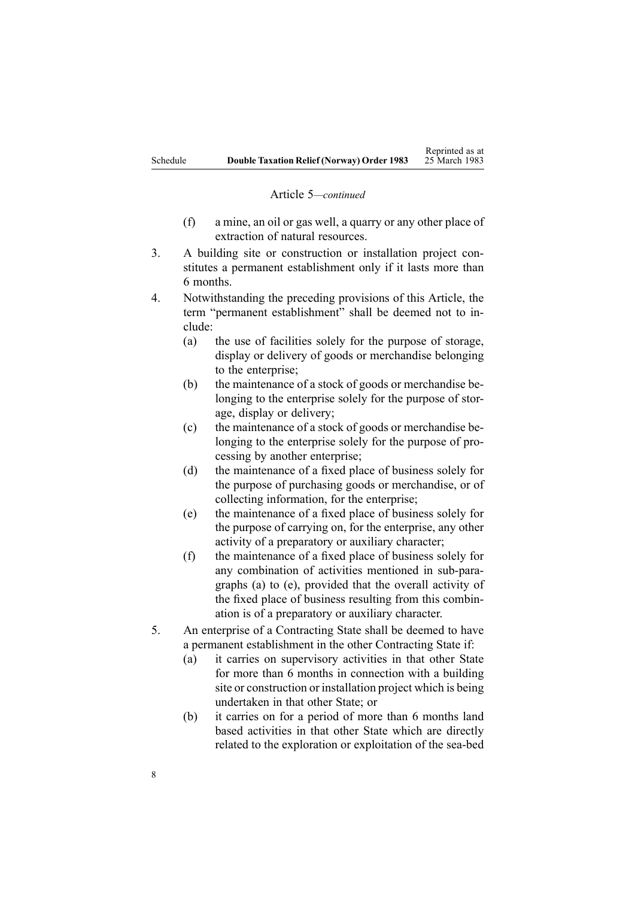Article 5*—continued*

- (f) <sup>a</sup> mine, an oil or gas well, <sup>a</sup> quarry or any other place of extraction of natural resources.
- 3. A building site or construction or installation project constitutes <sup>a</sup> permanen<sup>t</sup> establishment only if it lasts more than 6 months.
- 4. Notwithstanding the preceding provisions of this Article, the term "permanent establishment" shall be deemed not to include:
	- (a) the use of facilities solely for the purpose of storage, display or delivery of goods or merchandise belonging to the enterprise;
	- (b) the maintenance of <sup>a</sup> stock of goods or merchandise belonging to the enterprise solely for the purpose of storage, display or delivery;
	- (c) the maintenance of <sup>a</sup> stock of goods or merchandise belonging to the enterprise solely for the purpose of processing by another enterprise;
	- (d) the maintenance of <sup>a</sup> fixed place of business solely for the purpose of purchasing goods or merchandise, or of collecting information, for the enterprise;
	- (e) the maintenance of <sup>a</sup> fixed place of business solely for the purpose of carrying on, for the enterprise, any other activity of <sup>a</sup> preparatory or auxiliary character;
	- (f) the maintenance of <sup>a</sup> fixed place of business solely for any combination of activities mentioned in sub-paragraphs (a) to (e), provided that the overall activity of the fixed place of business resulting from this combination is of <sup>a</sup> preparatory or auxiliary character.
- 5. An enterprise of <sup>a</sup> Contracting State shall be deemed to have <sup>a</sup> permanen<sup>t</sup> establishment in the other Contracting State if:
	- (a) it carries on supervisory activities in that other State for more than 6 months in connection with <sup>a</sup> building site or construction or installation project which is being undertaken in that other State; or
	- (b) it carries on for <sup>a</sup> period of more than 6 months land based activities in that other State which are directly related to the exploration or exploitation of the sea-bed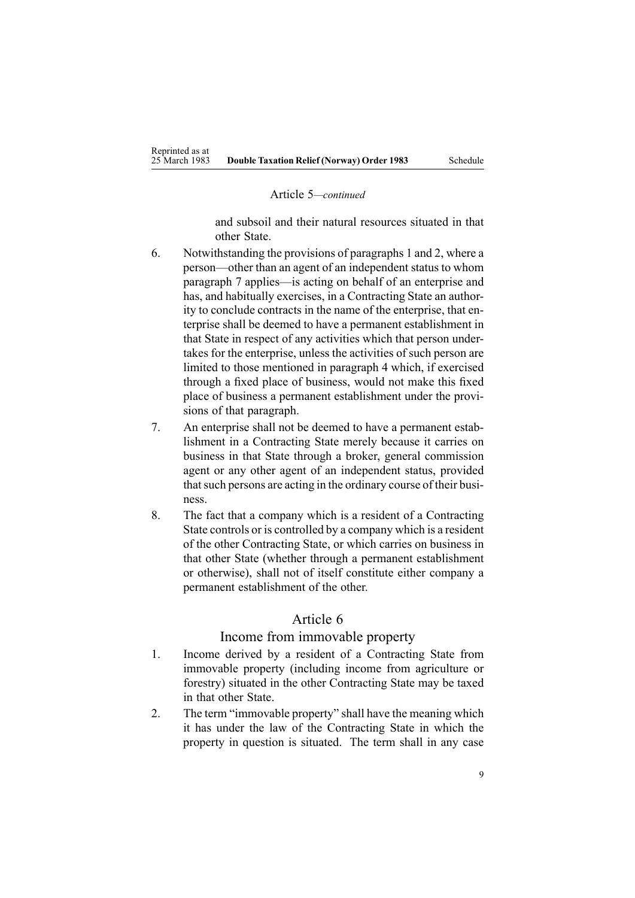#### Article 5*—continued*

and subsoil and their natural resources situated in that other State.

- 6. Notwithstanding the provisions of paragraphs 1 and 2, where <sup>a</sup> person—other than an agen<sup>t</sup> of an independent status to whom paragraph 7 applies—is acting on behalf of an enterprise and has, and habitually exercises, in <sup>a</sup> Contracting State an authority to conclude contracts in the name of the enterprise, that enterprise shall be deemed to have <sup>a</sup> permanen<sup>t</sup> establishment in that State in respec<sup>t</sup> of any activities which that person undertakes for the enterprise, unless the activities of such person are limited to those mentioned in paragraph 4 which, if exercised through <sup>a</sup> fixed place of business, would not make this fixed place of business <sup>a</sup> permanen<sup>t</sup> establishment under the provisions of that paragraph.
- 7. An enterprise shall not be deemed to have <sup>a</sup> permanen<sup>t</sup> establishment in <sup>a</sup> Contracting State merely because it carries on business in that State through <sup>a</sup> broker, general commission agen<sup>t</sup> or any other agen<sup>t</sup> of an independent status, provided that such persons are acting in the ordinary course of their business.
- 8. The fact that <sup>a</sup> company which is <sup>a</sup> resident of <sup>a</sup> Contracting State controls or is controlled by <sup>a</sup> company which is <sup>a</sup> resident of the other Contracting State, or which carries on business in that other State (whether through <sup>a</sup> permanen<sup>t</sup> establishment or otherwise), shall not of itself constitute either company <sup>a</sup> permanen<sup>t</sup> establishment of the other.

### Article 6

# Income from immovable property

- 1. Income derived by <sup>a</sup> resident of <sup>a</sup> Contracting State from immovable property (including income from agriculture or forestry) situated in the other Contracting State may be taxed in that other State.
- 2. The term "immovable property" shall have the meaning which it has under the law of the Contracting State in which the property in question is situated. The term shall in any case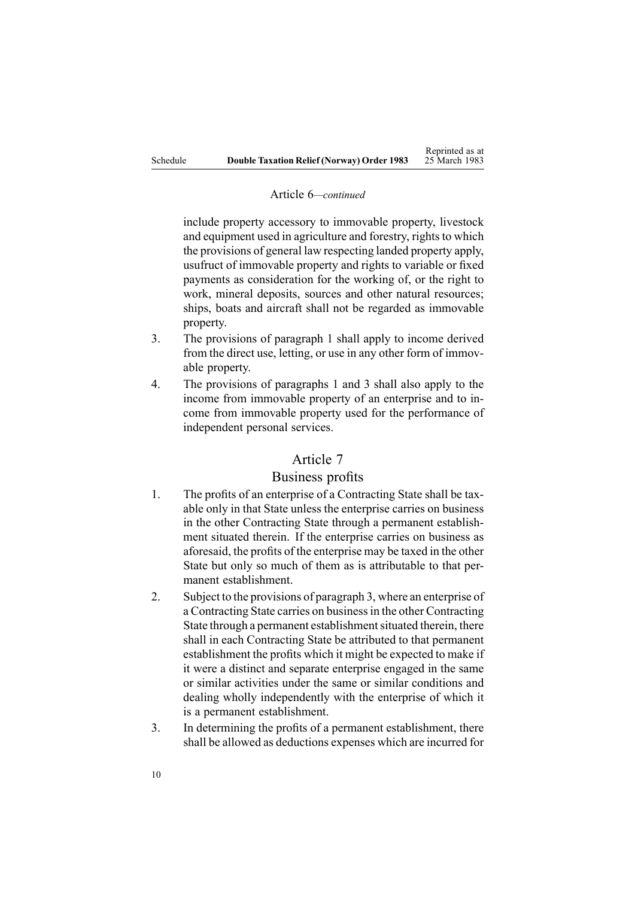#### Article 6*—continued*

include property accessory to immovable property, livestock and equipment used in agriculture and forestry, rights to which the provisions of general law respecting landed property apply, usufruct of immovable property and rights to variable or fixed payments as consideration for the working of, or the right to work, mineral deposits, sources and other natural resources; ships, boats and aircraft shall not be regarded as immovable property.

- 3. The provisions of paragraph 1 shall apply to income derived from the direct use, letting, or use in any other form of immovable property.
- 4. The provisions of paragraphs 1 and 3 shall also apply to the income from immovable property of an enterprise and to income from immovable property used for the performance of independent personal services.

# Article 7

### Business profits

- 1. The profits of an enterprise of <sup>a</sup> Contracting State shall be taxable only in that State unless the enterprise carries on business in the other Contracting State through <sup>a</sup> permanen<sup>t</sup> establishment situated therein. If the enterprise carries on business as aforesaid, the profits of the enterprise may be taxed in the other State but only so much of them as is attributable to that permanent establishment.
- 2. Subject to the provisions of paragraph 3, where an enterprise of <sup>a</sup> Contracting State carries on businessin the other Contracting State through a permanent establishment situated therein, there shall in each Contracting State be attributed to that permanen<sup>t</sup> establishment the profits which it might be expected to make if it were <sup>a</sup> distinct and separate enterprise engaged in the same or similar activities under the same or similar conditions and dealing wholly independently with the enterprise of which it is <sup>a</sup> permanen<sup>t</sup> establishment.
- 3. In determining the profits of <sup>a</sup> permanen<sup>t</sup> establishment, there shall be allowed as deductions expenses which are incurred for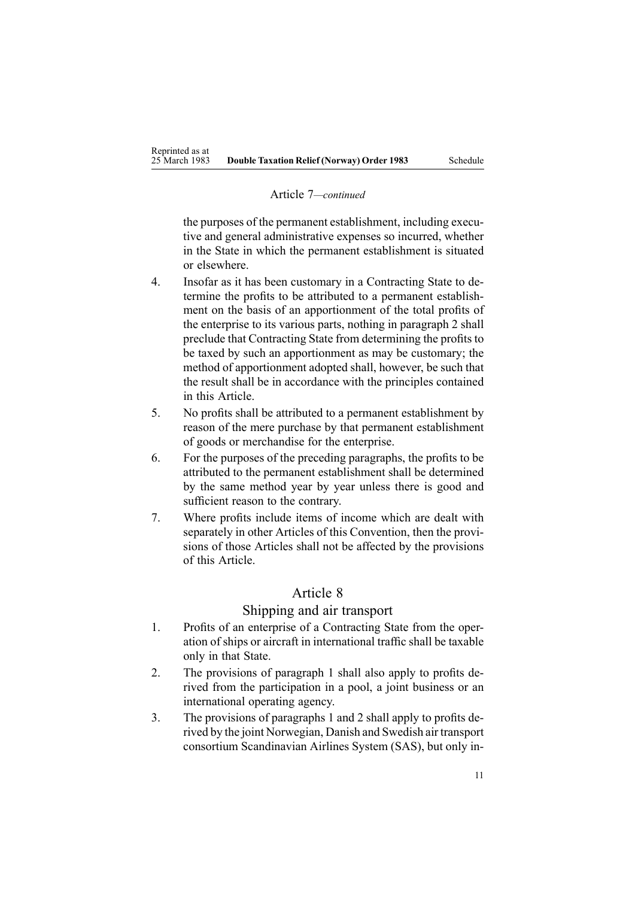#### Article 7*—continued*

the purposes of the permanen<sup>t</sup> establishment, including executive and general administrative expenses so incurred, whether in the State in which the permanen<sup>t</sup> establishment is situated or elsewhere.

- 4. Insofar as it has been customary in <sup>a</sup> Contracting State to determine the profits to be attributed to <sup>a</sup> permanen<sup>t</sup> establishment on the basis of an apportionment of the total profits of the enterprise to its various parts, nothing in paragraph 2 shall preclude that Contracting State from determining the profits to be taxed by such an apportionment as may be customary; the method of apportionment adopted shall, however, be such that the result shall be in accordance with the principles contained in this Article.
- 5. No profits shall be attributed to <sup>a</sup> permanen<sup>t</sup> establishment by reason of the mere purchase by that permanen<sup>t</sup> establishment of goods or merchandise for the enterprise.
- 6. For the purposes of the preceding paragraphs, the profits to be attributed to the permanen<sup>t</sup> establishment shall be determined by the same method year by year unless there is good and sufficient reason to the contrary.
- 7. Where profits include items of income which are dealt with separately in other Articles of this Convention, then the provisions of those Articles shall not be affected by the provisions of this Article.

# Article 8

# Shipping and air transport

- 1. Profits of an enterprise of <sup>a</sup> Contracting State from the operation of ships or aircraft in international traffic shall be taxable only in that State.
- 2. The provisions of paragraph 1 shall also apply to profits derived from the participation in <sup>a</sup> pool, <sup>a</sup> joint business or an international operating agency.
- 3. The provisions of paragraphs 1 and 2 shall apply to profits derived by the joint Norwegian, Danish and Swedish air transport consortium Scandinavian Airlines System (SAS), but only in-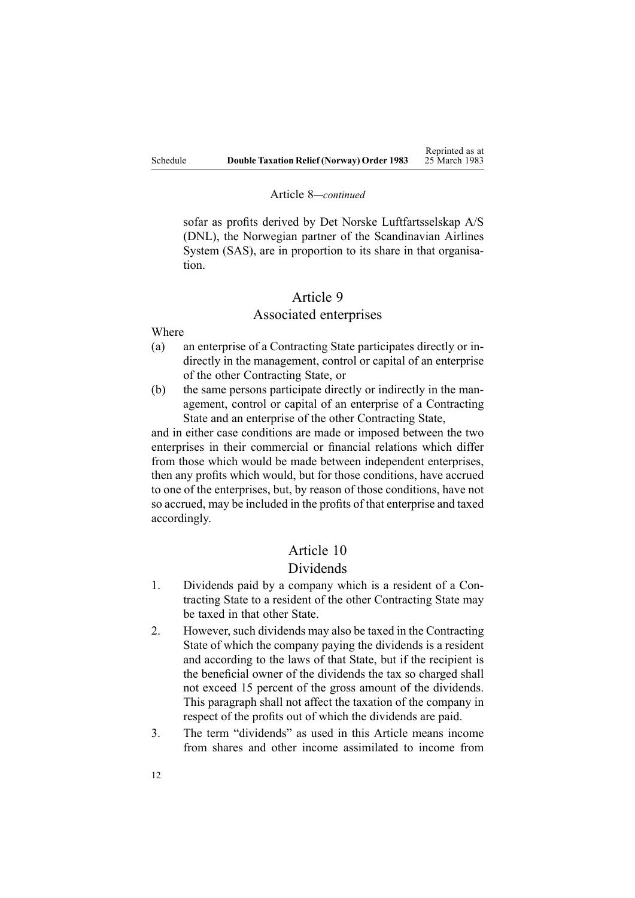#### Article 8*—continued*

sofar as profits derived by Det Norske Luftfartsselskap A/S (DNL), the Norwegian partner of the Scandinavian Airlines System (SAS), are in proportion to its share in that organisation.

### Article 9

### Associated enterprises

Where

- (a) an enterprise of <sup>a</sup> Contracting State participates directly or indirectly in the management, control or capital of an enterprise of the other Contracting State, or
- (b) the same persons participate directly or indirectly in the management, control or capital of an enterprise of <sup>a</sup> Contracting State and an enterprise of the other Contracting State,

and in either case conditions are made or imposed between the two enterprises in their commercial or financial relations which differ from those which would be made between independent enterprises, then any profits which would, but for those conditions, have accrued to one of the enterprises, but, by reason of those conditions, have not so accrued, may be included in the profits of that enterprise and taxed accordingly.

### Article 10

# Dividends

- 1. Dividends paid by <sup>a</sup> company which is <sup>a</sup> resident of <sup>a</sup> Contracting State to <sup>a</sup> resident of the other Contracting State may be taxed in that other State.
- 2. However, such dividends may also be taxed in the Contracting State of which the company paying the dividends is <sup>a</sup> resident and according to the laws of that State, but if the recipient is the beneficial owner of the dividends the tax so charged shall not exceed 15 percen<sup>t</sup> of the gross amount of the dividends. This paragraph shall not affect the taxation of the company in respec<sup>t</sup> of the profits out of which the dividends are paid.
- 3. The term "dividends" as used in this Article means income from shares and other income assimilated to income from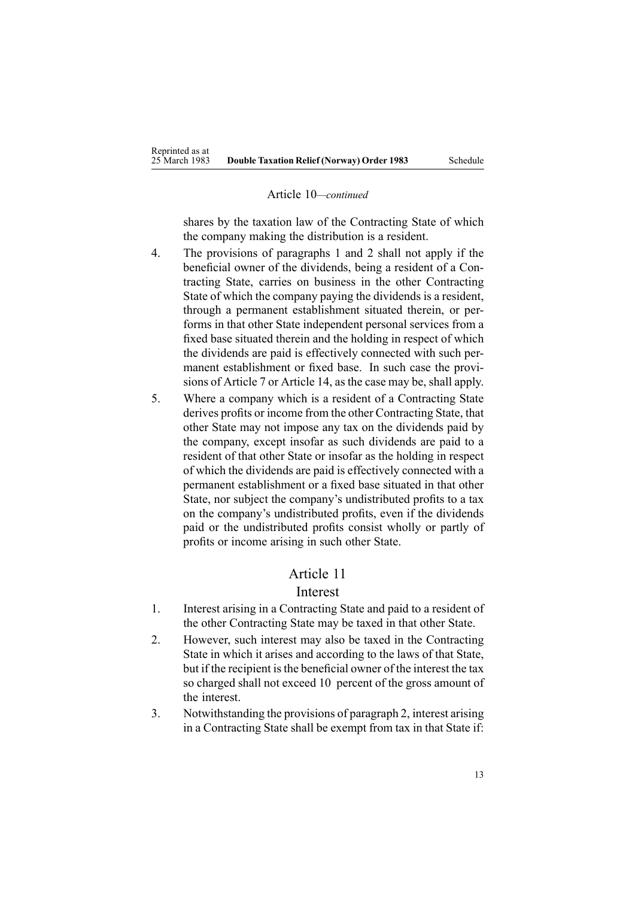#### Article 10*—continued*

shares by the taxation law of the Contracting State of which the company making the distribution is <sup>a</sup> resident.

- 4. The provisions of paragraphs 1 and 2 shall not apply if the beneficial owner of the dividends, being <sup>a</sup> resident of <sup>a</sup> Contracting State, carries on business in the other Contracting State of which the company paying the dividends is <sup>a</sup> resident, through <sup>a</sup> permanen<sup>t</sup> establishment situated therein, or performs in that other State independent personal services from <sup>a</sup> fixed base situated therein and the holding in respec<sup>t</sup> of which the dividends are paid is effectively connected with such permanent establishment or fixed base. In such case the provisions of Article 7 or Article 14, as the case may be, shall apply.
- 5. Where <sup>a</sup> company which is <sup>a</sup> resident of <sup>a</sup> Contracting State derives profits or income from the other Contracting State, that other State may not impose any tax on the dividends paid by the company, excep<sup>t</sup> insofar as such dividends are paid to <sup>a</sup> resident of that other State or insofar as the holding in respec<sup>t</sup> of which the dividends are paid is effectively connected with <sup>a</sup> permanen<sup>t</sup> establishment or <sup>a</sup> fixed base situated in that other State, nor subject the company's undistributed profits to <sup>a</sup> tax on the company's undistributed profits, even if the dividends paid or the undistributed profits consist wholly or partly of profits or income arising in such other State.

#### Article 11

#### Interest

- 1. Interest arising in <sup>a</sup> Contracting State and paid to <sup>a</sup> resident of the other Contracting State may be taxed in that other State.
- 2. However, such interest may also be taxed in the Contracting State in which it arises and according to the laws of that State, but if the recipient is the beneficial owner of the interest the tax so charged shall not exceed 10 percen<sup>t</sup> of the gross amount of the interest.
- 3. Notwithstanding the provisions of paragraph 2, interest arising in <sup>a</sup> Contracting State shall be exemp<sup>t</sup> from tax in that State if: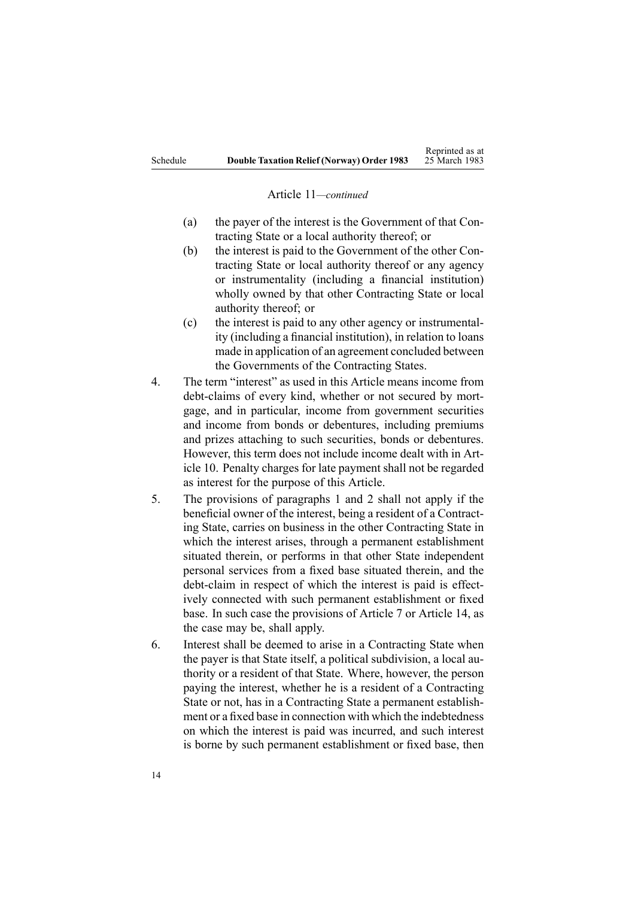#### Article 11*—continued*

- (a) the payer of the interest is the Government of that Contracting State or <sup>a</sup> local authority thereof; or
- (b) the interest is paid to the Government of the other Contracting State or local authority thereof or any agency or instrumentality (including <sup>a</sup> financial institution) wholly owned by that other Contracting State or local authority thereof; or
- (c) the interest is paid to any other agency or instrumentality (including <sup>a</sup> financial institution), in relation to loans made in application of an agreemen<sup>t</sup> concluded between the Governments of the Contracting States.
- 4. The term "interest" as used in this Article means income from debt-claims of every kind, whether or not secured by mortgage, and in particular, income from governmen<sup>t</sup> securities and income from bonds or debentures, including premiums and prizes attaching to such securities, bonds or debentures. However, this term does not include income dealt with in Article 10. Penalty charges for late paymen<sup>t</sup> shall not be regarded as interest for the purpose of this Article.
- 5. The provisions of paragraphs 1 and 2 shall not apply if the beneficial owner of the interest, being <sup>a</sup> resident of <sup>a</sup> Contracting State, carries on business in the other Contracting State in which the interest arises, through <sup>a</sup> permanen<sup>t</sup> establishment situated therein, or performs in that other State independent personal services from <sup>a</sup> fixed base situated therein, and the debt-claim in respec<sup>t</sup> of which the interest is paid is effectively connected with such permanen<sup>t</sup> establishment or fixed base. In such case the provisions of Article 7 or Article 14, as the case may be, shall apply.
- 6. Interest shall be deemed to arise in <sup>a</sup> Contracting State when the payer is that State itself, <sup>a</sup> political subdivision, <sup>a</sup> local authority or <sup>a</sup> resident of that State. Where, however, the person paying the interest, whether he is <sup>a</sup> resident of <sup>a</sup> Contracting State or not, has in <sup>a</sup> Contracting State <sup>a</sup> permanen<sup>t</sup> establishment or <sup>a</sup> fixed base in connection with which the indebtedness on which the interest is paid was incurred, and such interest is borne by such permanen<sup>t</sup> establishment or fixed base, then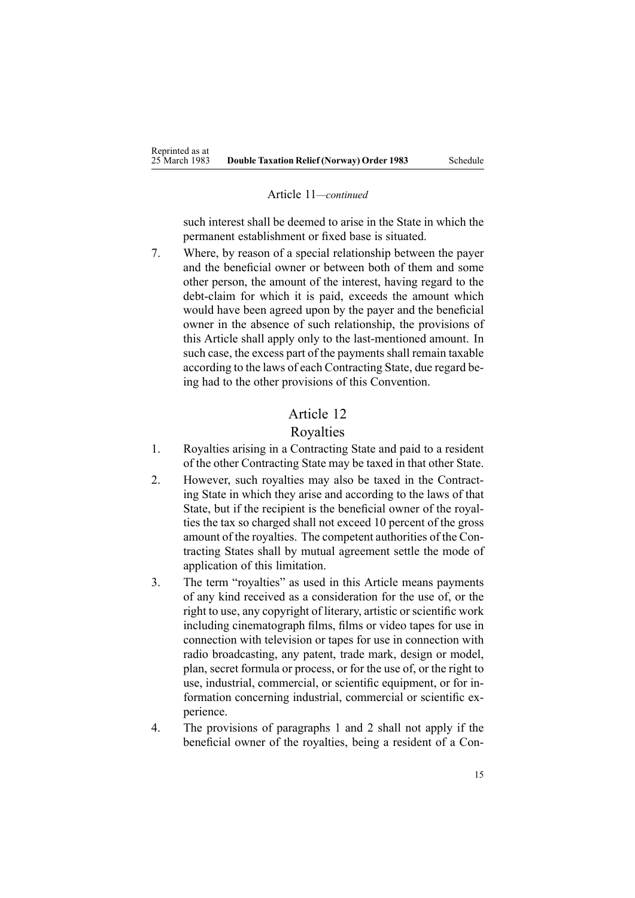#### Article 11*—continued*

such interest shall be deemed to arise in the State in which the permanen<sup>t</sup> establishment or fixed base is situated.

7. Where, by reason of <sup>a</sup> special relationship between the payer and the beneficial owner or between both of them and some other person, the amount of the interest, having regard to the debt-claim for which it is paid, exceeds the amount which would have been agreed upon by the payer and the beneficial owner in the absence of such relationship, the provisions of this Article shall apply only to the last-mentioned amount. In such case, the excess par<sup>t</sup> of the payments shall remain taxable according to the laws of each Contracting State, due regard being had to the other provisions of this Convention.

### Article 12

#### Royalties

- 1. Royalties arising in <sup>a</sup> Contracting State and paid to <sup>a</sup> resident of the other Contracting State may be taxed in that other State.
- 2. However, such royalties may also be taxed in the Contracting State in which they arise and according to the laws of that State, but if the recipient is the beneficial owner of the royalties the tax so charged shall not exceed 10 percen<sup>t</sup> of the gross amount of the royalties. The competent authorities of the Contracting States shall by mutual agreemen<sup>t</sup> settle the mode of application of this limitation.
- 3. The term "royalties" as used in this Article means payments of any kind received as <sup>a</sup> consideration for the use of, or the right to use, any copyright of literary, artistic orscientific work including cinematograph films, films or video tapes for use in connection with television or tapes for use in connection with radio broadcasting, any patent, trade mark, design or model, plan, secret formula or process, or for the use of, or the right to use, industrial, commercial, or scientific equipment, or for information concerning industrial, commercial or scientific experience.
- 4. The provisions of paragraphs 1 and 2 shall not apply if the beneficial owner of the royalties, being <sup>a</sup> resident of <sup>a</sup> Con-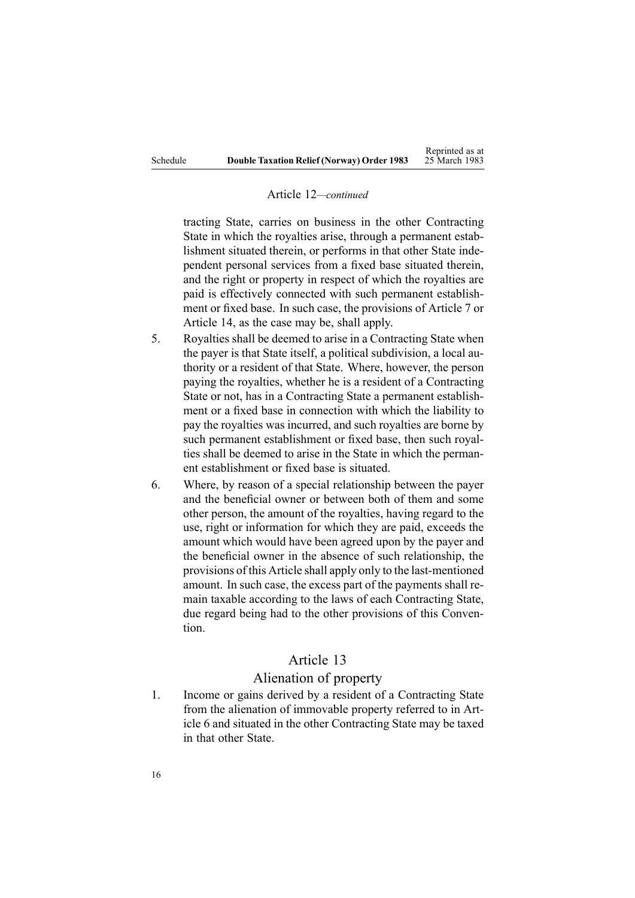#### Article 12*—continued*

tracting State, carries on business in the other Contracting State in which the royalties arise, through <sup>a</sup> permanen<sup>t</sup> establishment situated therein, or performs in that other State independent personal services from <sup>a</sup> fixed base situated therein, and the right or property in respec<sup>t</sup> of which the royalties are paid is effectively connected with such permanen<sup>t</sup> establishment or fixed base. In such case, the provisions of Article 7 or Article 14, as the case may be, shall apply.

- 5. Royalties shall be deemed to arise in <sup>a</sup> Contracting State when the payer is that State itself, <sup>a</sup> political subdivision, <sup>a</sup> local authority or <sup>a</sup> resident of that State. Where, however, the person paying the royalties, whether he is <sup>a</sup> resident of <sup>a</sup> Contracting State or not, has in <sup>a</sup> Contracting State <sup>a</sup> permanen<sup>t</sup> establishment or <sup>a</sup> fixed base in connection with which the liability to pay the royalties was incurred, and such royalties are borne by such permanen<sup>t</sup> establishment or fixed base, then such royalties shall be deemed to arise in the State in which the permanent establishment or fixed base is situated.
- 6. Where, by reason of <sup>a</sup> special relationship between the payer and the beneficial owner or between both of them and some other person, the amount of the royalties, having regard to the use, right or information for which they are paid, exceeds the amount which would have been agreed upon by the payer and the beneficial owner in the absence of such relationship, the provisions of this Article shall apply only to the last-mentioned amount. In such case, the excess par<sup>t</sup> of the payments shall remain taxable according to the laws of each Contracting State, due regard being had to the other provisions of this Convention.

# Article 13

#### Alienation of property

1. Income or gains derived by <sup>a</sup> resident of <sup>a</sup> Contracting State from the alienation of immovable property referred to in Article 6 and situated in the other Contracting State may be taxed in that other State.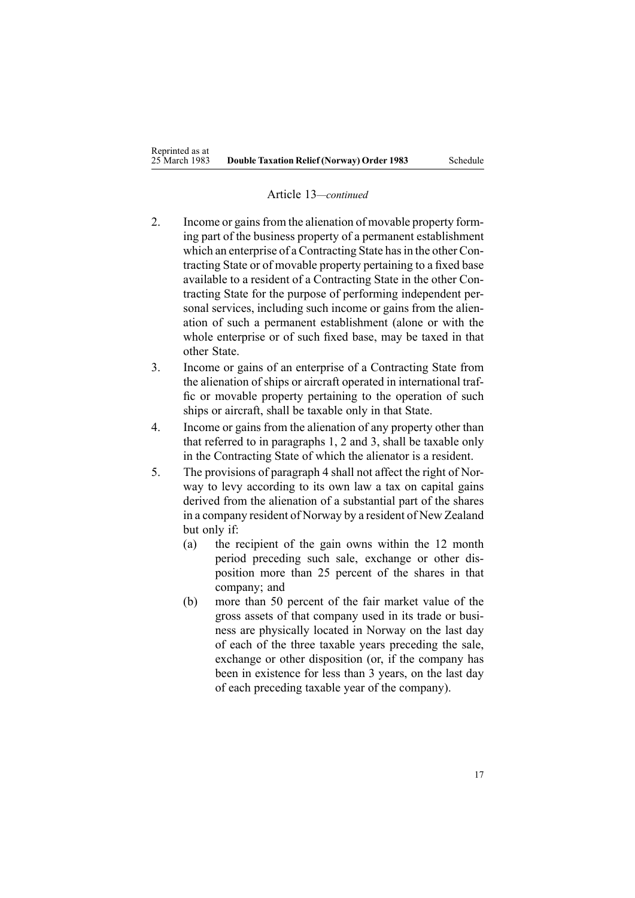#### Article 13*—continued*

- 2. Income or gains from the alienation of movable property forming par<sup>t</sup> of the business property of <sup>a</sup> permanen<sup>t</sup> establishment which an enterprise of a Contracting State has in the other Contracting State or of movable property pertaining to <sup>a</sup> fixed base available to <sup>a</sup> resident of <sup>a</sup> Contracting State in the other Contracting State for the purpose of performing independent personal services, including such income or gains from the alienation of such <sup>a</sup> permanen<sup>t</sup> establishment (alone or with the whole enterprise or of such fixed base, may be taxed in that other State.
- 3. Income or gains of an enterprise of <sup>a</sup> Contracting State from the alienation of ships or aircraft operated in international traffic or movable property pertaining to the operation of such ships or aircraft, shall be taxable only in that State.
- 4. Income or gains from the alienation of any property other than that referred to in paragraphs 1, 2 and 3, shall be taxable only in the Contracting State of which the alienator is <sup>a</sup> resident.
- 5. The provisions of paragraph 4 shall not affect the right of Norway to levy according to its own law <sup>a</sup> tax on capital gains derived from the alienation of <sup>a</sup> substantial par<sup>t</sup> of the shares in <sup>a</sup> company resident of Norway by <sup>a</sup> resident of New Zealand but only if:
	- (a) the recipient of the gain owns within the 12 month period preceding such sale, exchange or other disposition more than 25 percen<sup>t</sup> of the shares in that company; and
	- (b) more than 50 percen<sup>t</sup> of the fair market value of the gross assets of that company used in its trade or business are physically located in Norway on the last day of each of the three taxable years preceding the sale, exchange or other disposition (or, if the company has been in existence for less than 3 years, on the last day of each preceding taxable year of the company).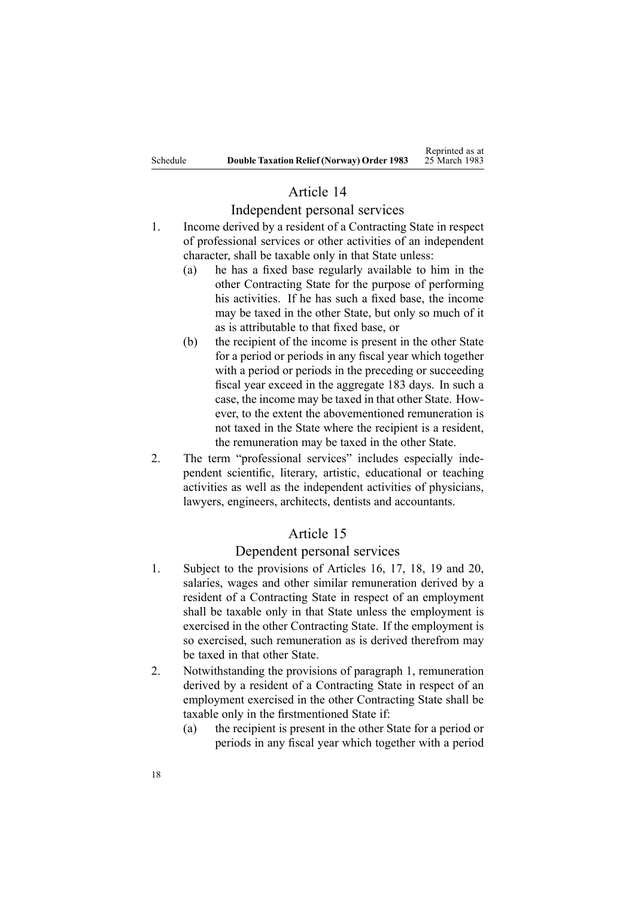### Article 14

#### Independent personal services

- 1. Income derived by <sup>a</sup> resident of <sup>a</sup> Contracting State in respec<sup>t</sup> of professional services or other activities of an independent character, shall be taxable only in that State unless:
	- (a) he has <sup>a</sup> fixed base regularly available to him in the other Contracting State for the purpose of performing his activities. If he has such <sup>a</sup> fixed base, the income may be taxed in the other State, but only so much of it as is attributable to that fixed base, or
	- (b) the recipient of the income is presen<sup>t</sup> in the other State for <sup>a</sup> period or periods in any fiscal year which together with a period or periods in the preceding or succeeding fiscal year exceed in the aggregate 183 days. In such <sup>a</sup> case, the income may be taxed in that other State. However, to the extent the abovementioned remuneration is not taxed in the State where the recipient is <sup>a</sup> resident, the remuneration may be taxed in the other State.
- 2. The term "professional services" includes especially independent scientific, literary, artistic, educational or teaching activities as well as the independent activities of physicians, lawyers, engineers, architects, dentists and accountants.

# Article 15

#### Dependent personal services

- 1. Subject to the provisions of Articles 16, 17, 18, 19 and 20, salaries, wages and other similar remuneration derived by <sup>a</sup> resident of <sup>a</sup> Contracting State in respec<sup>t</sup> of an employment shall be taxable only in that State unless the employment is exercised in the other Contracting State. If the employment is so exercised, such remuneration as is derived therefrom may be taxed in that other State.
- 2. Notwithstanding the provisions of paragraph 1, remuneration derived by <sup>a</sup> resident of <sup>a</sup> Contracting State in respec<sup>t</sup> of an employment exercised in the other Contracting State shall be taxable only in the firstmentioned State if:
	- (a) the recipient is presen<sup>t</sup> in the other State for <sup>a</sup> period or periods in any fiscal year which together with <sup>a</sup> period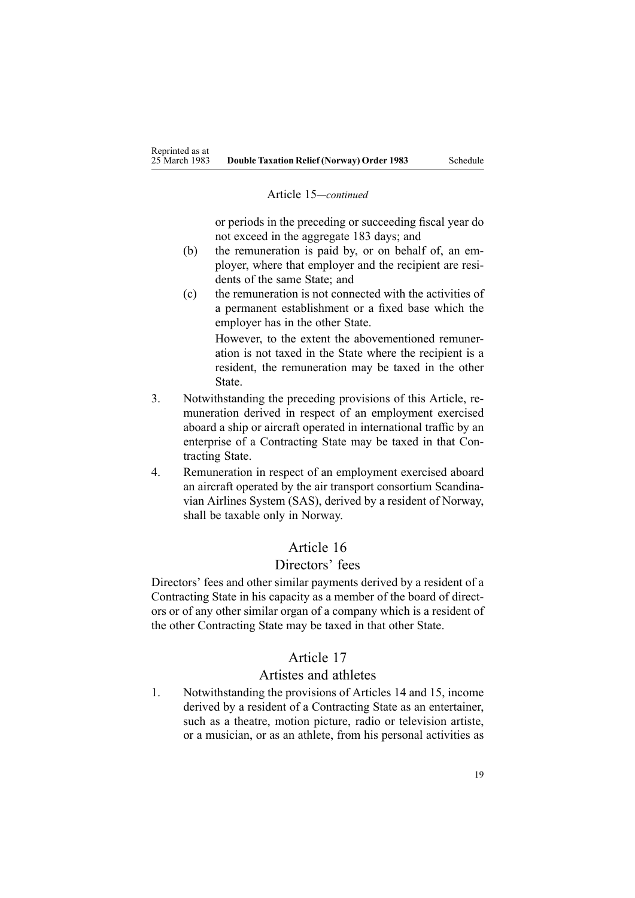#### Article 15*—continued*

or periods in the preceding or succeeding fiscal year do not exceed in the aggregate 183 days; and

- (b) the remuneration is paid by, or on behalf of, an employer, where that employer and the recipient are residents of the same State; and
- (c) the remuneration is not connected with the activities of <sup>a</sup> permanen<sup>t</sup> establishment or <sup>a</sup> fixed base which the employer has in the other State.

However, to the extent the abovementioned remuneration is not taxed in the State where the recipient is <sup>a</sup> resident, the remuneration may be taxed in the other State.

- 3. Notwithstanding the preceding provisions of this Article, remuneration derived in respec<sup>t</sup> of an employment exercised aboard <sup>a</sup> ship or aircraft operated in international traffic by an enterprise of <sup>a</sup> Contracting State may be taxed in that Contracting State.
- 4. Remuneration in respec<sup>t</sup> of an employment exercised aboard an aircraft operated by the air transport consortium Scandinavian Airlines System (SAS), derived by <sup>a</sup> resident of Norway, shall be taxable only in Norway.

### Article 16

### Directors' fees

Directors' fees and other similar payments derived by <sup>a</sup> resident of <sup>a</sup> Contracting State in his capacity as <sup>a</sup> member of the board of directors or of any other similar organ of <sup>a</sup> company which is <sup>a</sup> resident of the other Contracting State may be taxed in that other State.

# Article 17

#### Artistes and athletes

1. Notwithstanding the provisions of Articles 14 and 15, income derived by <sup>a</sup> resident of <sup>a</sup> Contracting State as an entertainer, such as <sup>a</sup> theatre, motion picture, radio or television artiste, or <sup>a</sup> musician, or as an athlete, from his personal activities as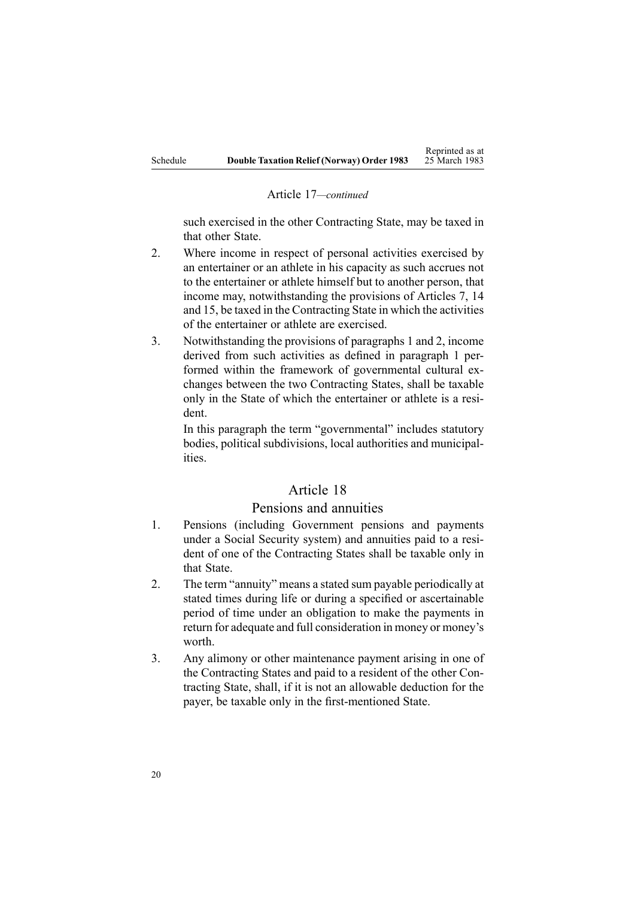#### Article 17*—continued*

such exercised in the other Contracting State, may be taxed in that other State.

- 2. Where income in respec<sup>t</sup> of personal activities exercised by an entertainer or an athlete in his capacity as such accrues not to the entertainer or athlete himself but to another person, that income may, notwithstanding the provisions of Articles 7, 14 and 15, be taxed in the Contracting State in which the activities of the entertainer or athlete are exercised.
- 3. Notwithstanding the provisions of paragraphs 1 and 2, income derived from such activities as defined in paragraph 1 performed within the framework of governmental cultural exchanges between the two Contracting States, shall be taxable only in the State of which the entertainer or athlete is <sup>a</sup> resident.

In this paragraph the term "governmental" includes statutory bodies, political subdivisions, local authorities and municipalities.

### Article 18

# Pensions and annuities

- 1. Pensions (including Government pensions and payments under <sup>a</sup> Social Security system) and annuities paid to <sup>a</sup> resident of one of the Contracting States shall be taxable only in that State.
- 2. The term "annuity" means <sup>a</sup> stated sum payable periodically at stated times during life or during <sup>a</sup> specified or ascertainable period of time under an obligation to make the payments in return for adequate and full consideration in money or money's worth.
- 3. Any alimony or other maintenance paymen<sup>t</sup> arising in one of the Contracting States and paid to <sup>a</sup> resident of the other Contracting State, shall, if it is not an allowable deduction for the payer, be taxable only in the first-mentioned State.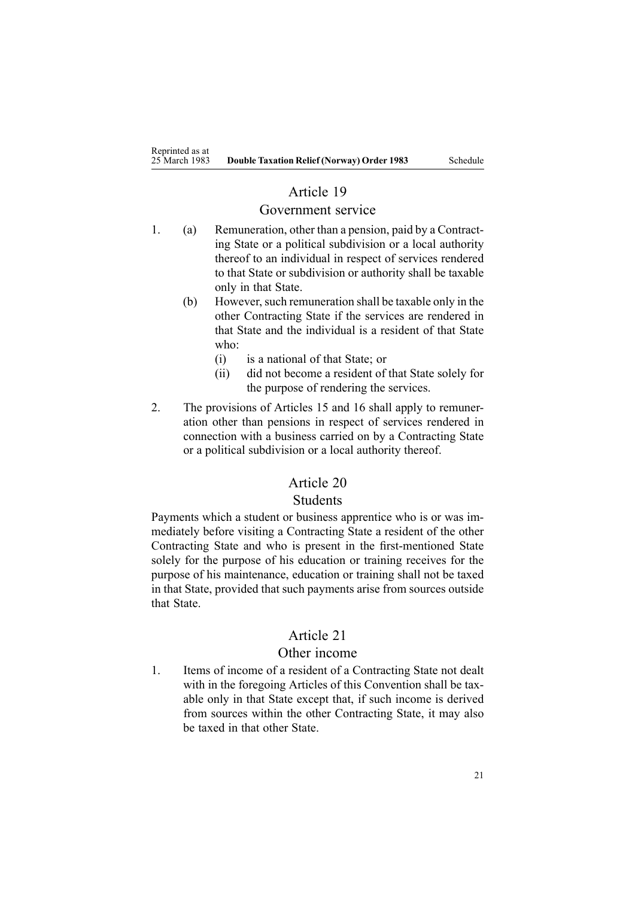### Article 19

### Government service

- 1. (a) Remuneration, other than <sup>a</sup> pension, paid by <sup>a</sup> Contracting State or <sup>a</sup> political subdivision or <sup>a</sup> local authority thereof to an individual in respec<sup>t</sup> of services rendered to that State or subdivision or authority shall be taxable only in that State.
	- (b) However, such remuneration shall be taxable only in the other Contracting State if the services are rendered in that State and the individual is <sup>a</sup> resident of that State who:
		- (i) is <sup>a</sup> national of that State; or
		- (ii) did not become <sup>a</sup> resident of that State solely for the purpose of rendering the services.
- 2. The provisions of Articles 15 and 16 shall apply to remuneration other than pensions in respec<sup>t</sup> of services rendered in connection with <sup>a</sup> business carried on by <sup>a</sup> Contracting State or <sup>a</sup> political subdivision or <sup>a</sup> local authority thereof.

#### Article 20

#### Students

Payments which <sup>a</sup> student or business apprentice who is or was immediately before visiting <sup>a</sup> Contracting State <sup>a</sup> resident of the other Contracting State and who is presen<sup>t</sup> in the first-mentioned State solely for the purpose of his education or training receives for the purpose of his maintenance, education or training shall not be taxed in that State, provided that such payments arise from sources outside that State.

### Article 21

### Other income

1. Items of income of <sup>a</sup> resident of <sup>a</sup> Contracting State not dealt with in the foregoing Articles of this Convention shall be taxable only in that State excep<sup>t</sup> that, if such income is derived from sources within the other Contracting State, it may also be taxed in that other State.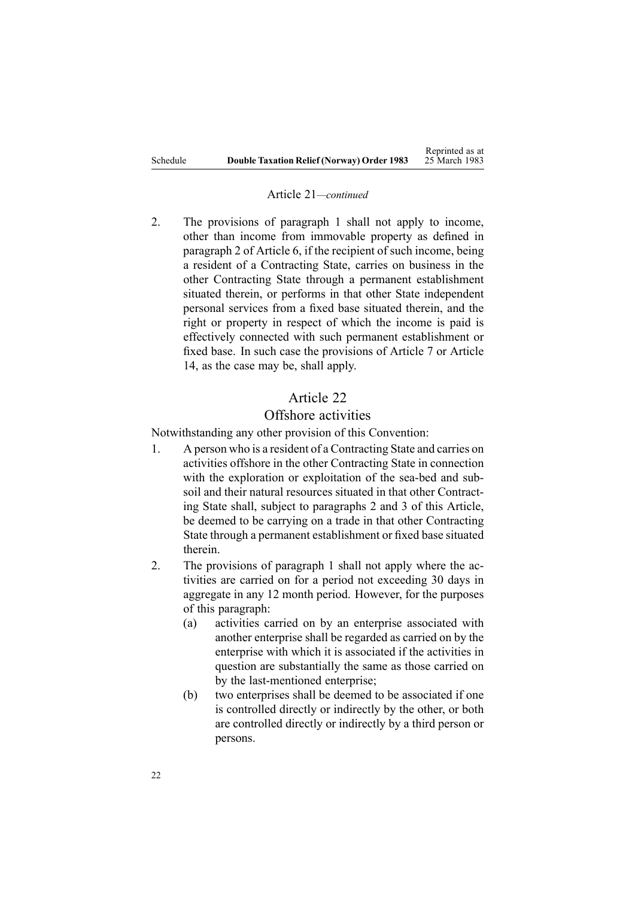#### Article 21*—continued*

2. The provisions of paragraph 1 shall not apply to income, other than income from immovable property as defined in paragraph 2 of Article 6, if the recipient of such income, being <sup>a</sup> resident of <sup>a</sup> Contracting State, carries on business in the other Contracting State through <sup>a</sup> permanen<sup>t</sup> establishment situated therein, or performs in that other State independent personal services from <sup>a</sup> fixed base situated therein, and the right or property in respec<sup>t</sup> of which the income is paid is effectively connected with such permanen<sup>t</sup> establishment or fixed base. In such case the provisions of Article 7 or Article 14, as the case may be, shall apply.

# Article 22

# Offshore activities

Notwithstanding any other provision of this Convention:

- 1. A person who is <sup>a</sup> resident of <sup>a</sup> Contracting State and carries on activities offshore in the other Contracting State in connection with the exploration or exploitation of the sea-bed and subsoil and their natural resources situated in that other Contracting State shall, subject to paragraphs 2 and 3 of this Article, be deemed to be carrying on <sup>a</sup> trade in that other Contracting State through <sup>a</sup> permanen<sup>t</sup> establishment or fixed base situated therein.
- 2. The provisions of paragraph 1 shall not apply where the activities are carried on for <sup>a</sup> period not exceeding 30 days in aggregate in any 12 month period. However, for the purposes of this paragraph:
	- (a) activities carried on by an enterprise associated with another enterprise shall be regarded as carried on by the enterprise with which it is associated if the activities in question are substantially the same as those carried on by the last-mentioned enterprise;
	- (b) two enterprises shall be deemed to be associated if one is controlled directly or indirectly by the other, or both are controlled directly or indirectly by <sup>a</sup> third person or persons.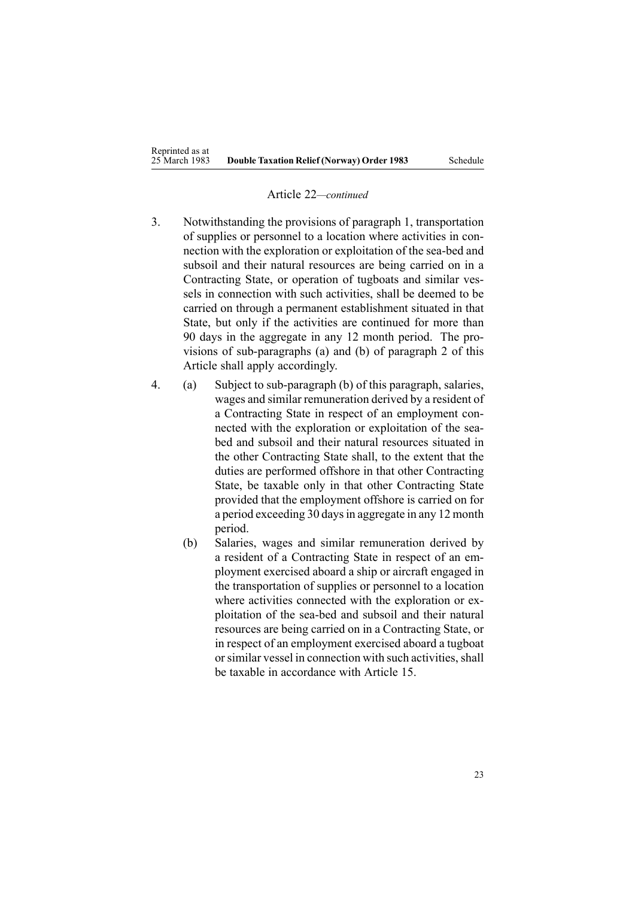#### Article 22*—continued*

- 3. Notwithstanding the provisions of paragraph 1, transportation of supplies or personnel to <sup>a</sup> location where activities in connection with the exploration or exploitation of the sea-bed and subsoil and their natural resources are being carried on in <sup>a</sup> Contracting State, or operation of tugboats and similar vessels in connection with such activities, shall be deemed to be carried on through <sup>a</sup> permanen<sup>t</sup> establishment situated in that State, but only if the activities are continued for more than 90 days in the aggregate in any 12 month period. The provisions of sub-paragraphs (a) and (b) of paragraph 2 of this Article shall apply accordingly.
- 4. (a) Subject to sub-paragraph (b) of this paragraph, salaries, wages and similar remuneration derived by <sup>a</sup> resident of <sup>a</sup> Contracting State in respec<sup>t</sup> of an employment connected with the exploration or exploitation of the seabed and subsoil and their natural resources situated in the other Contracting State shall, to the extent that the duties are performed offshore in that other Contracting State, be taxable only in that other Contracting State provided that the employment offshore is carried on for <sup>a</sup> period exceeding 30 daysin aggregate in any 12 month period.
	- (b) Salaries, wages and similar remuneration derived by <sup>a</sup> resident of <sup>a</sup> Contracting State in respec<sup>t</sup> of an employment exercised aboard <sup>a</sup> ship or aircraft engaged in the transportation of supplies or personnel to <sup>a</sup> location where activities connected with the exploration or exploitation of the sea-bed and subsoil and their natural resources are being carried on in <sup>a</sup> Contracting State, or in respec<sup>t</sup> of an employment exercised aboard <sup>a</sup> tugboat or similar vessel in connection with such activities, shall be taxable in accordance with Article 15.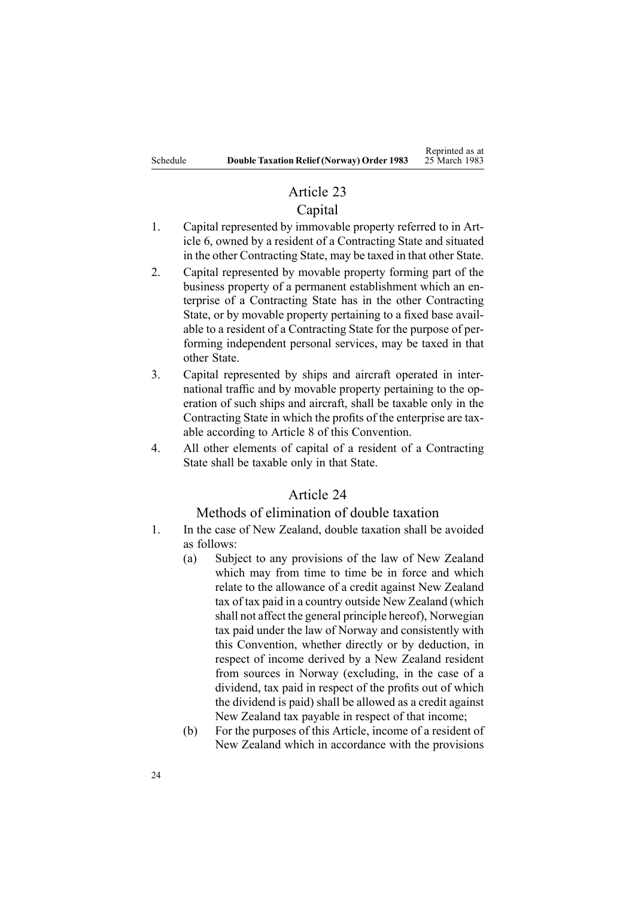# Article 23

#### Capital

- 1. Capital represented by immovable property referred to in Article 6, owned by <sup>a</sup> resident of <sup>a</sup> Contracting State and situated in the other Contracting State, may be taxed in that other State.
- 2. Capital represented by movable property forming par<sup>t</sup> of the business property of <sup>a</sup> permanen<sup>t</sup> establishment which an enterprise of <sup>a</sup> Contracting State has in the other Contracting State, or by movable property pertaining to <sup>a</sup> fixed base available to <sup>a</sup> resident of <sup>a</sup> Contracting State for the purpose of performing independent personal services, may be taxed in that other State.
- 3. Capital represented by ships and aircraft operated in international traffic and by movable property pertaining to the operation of such ships and aircraft, shall be taxable only in the Contracting State in which the profits of the enterprise are taxable according to Article 8 of this Convention.
- 4. All other elements of capital of <sup>a</sup> resident of <sup>a</sup> Contracting State shall be taxable only in that State.

# Article 24

### Methods of elimination of double taxation

- 1. In the case of New Zealand, double taxation shall be avoided as follows:
	- (a) Subject to any provisions of the law of New Zealand which may from time to time be in force and which relate to the allowance of <sup>a</sup> credit against New Zealand tax of tax paid in <sup>a</sup> country outside New Zealand (which shall not affect the general principle hereof), Norwegian tax paid under the law of Norway and consistently with this Convention, whether directly or by deduction, in respec<sup>t</sup> of income derived by <sup>a</sup> New Zealand resident from sources in Norway (excluding, in the case of <sup>a</sup> dividend, tax paid in respec<sup>t</sup> of the profits out of which the dividend is paid) shall be allowed as <sup>a</sup> credit against New Zealand tax payable in respec<sup>t</sup> of that income;
	- (b) For the purposes of this Article, income of <sup>a</sup> resident of New Zealand which in accordance with the provisions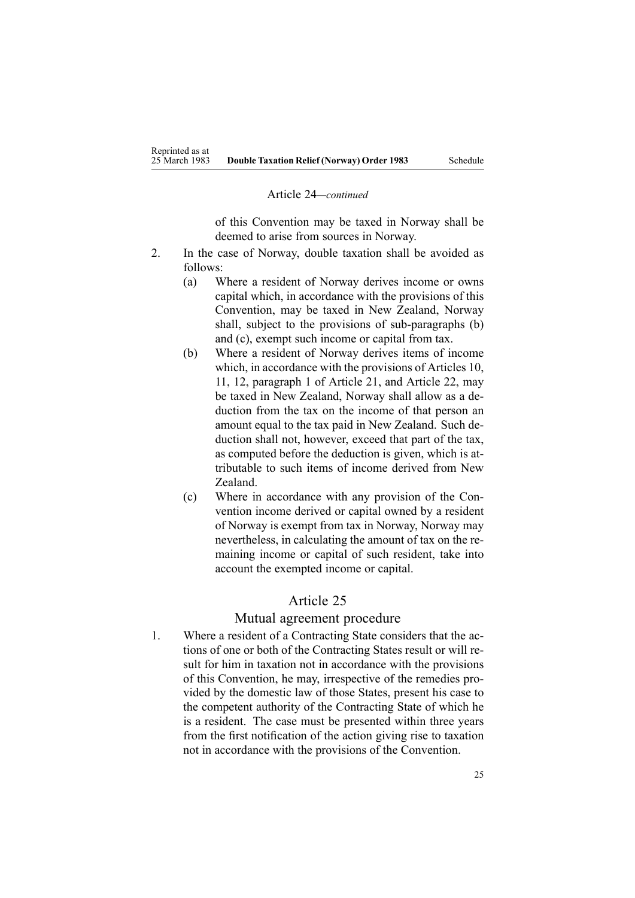#### Article 24*—continued*

of this Convention may be taxed in Norway shall be deemed to arise from sources in Norway.

- 2. In the case of Norway, double taxation shall be avoided as follows:
	- (a) Where <sup>a</sup> resident of Norway derives income or owns capital which, in accordance with the provisions of this Convention, may be taxed in New Zealand, Norway shall, subject to the provisions of sub-paragraphs (b) and (c), exemp<sup>t</sup> such income or capital from tax.
	- (b) Where <sup>a</sup> resident of Norway derives items of income which, in accordance with the provisions of Articles 10, 11, 12, paragraph 1 of Article 21, and Article 22, may be taxed in New Zealand, Norway shall allow as <sup>a</sup> deduction from the tax on the income of that person an amount equal to the tax paid in New Zealand. Such deduction shall not, however, exceed that par<sup>t</sup> of the tax, as computed before the deduction is given, which is attributable to such items of income derived from New Zealand.
	- (c) Where in accordance with any provision of the Convention income derived or capital owned by <sup>a</sup> resident of Norway is exemp<sup>t</sup> from tax in Norway, Norway may nevertheless, in calculating the amount of tax on the remaining income or capital of such resident, take into account the exempted income or capital.

### Article 25

#### Mutual agreemen<sup>t</sup> procedure

1. Where <sup>a</sup> resident of <sup>a</sup> Contracting State considers that the actions of one or both of the Contracting States result or will result for him in taxation not in accordance with the provisions of this Convention, he may, irrespective of the remedies provided by the domestic law of those States, presen<sup>t</sup> his case to the competent authority of the Contracting State of which he is <sup>a</sup> resident. The case must be presented within three years from the first notification of the action giving rise to taxation not in accordance with the provisions of the Convention.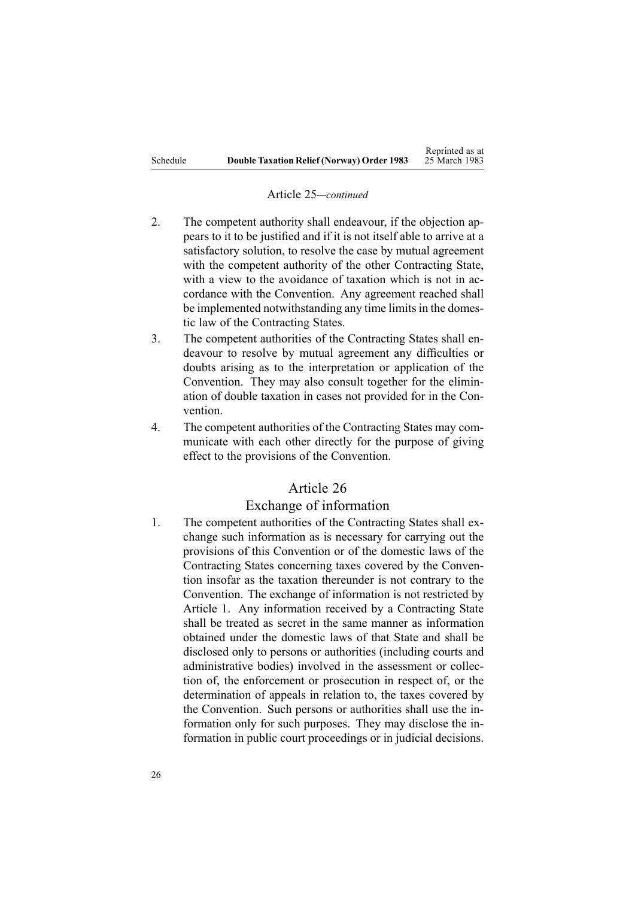#### Article 25*—continued*

- 2. The competent authority shall endeavour, if the objection appears to it to be justified and if it is not itself able to arrive at <sup>a</sup> satisfactory solution, to resolve the case by mutual agreemen<sup>t</sup> with the competent authority of the other Contracting State, with a view to the avoidance of taxation which is not in accordance with the Convention. Any agreemen<sup>t</sup> reached shall be implemented notwithstanding any time limits in the domestic law of the Contracting States.
- 3. The competent authorities of the Contracting States shall endeavour to resolve by mutual agreemen<sup>t</sup> any difficulties or doubts arising as to the interpretation or application of the Convention. They may also consult together for the elimination of double taxation in cases not provided for in the Convention.
- 4. The competent authorities of the Contracting States may communicate with each other directly for the purpose of giving effect to the provisions of the Convention.

### Article 26

### Exchange of information

1. The competent authorities of the Contracting States shall exchange such information as is necessary for carrying out the provisions of this Convention or of the domestic laws of the Contracting States concerning taxes covered by the Convention insofar as the taxation thereunder is not contrary to the Convention. The exchange of information is not restricted by Article 1. Any information received by <sup>a</sup> Contracting State shall be treated as secret in the same manner as information obtained under the domestic laws of that State and shall be disclosed only to persons or authorities (including courts and administrative bodies) involved in the assessment or collection of, the enforcement or prosecution in respec<sup>t</sup> of, or the determination of appeals in relation to, the taxes covered by the Convention. Such persons or authorities shall use the information only for such purposes. They may disclose the information in public court proceedings or in judicial decisions.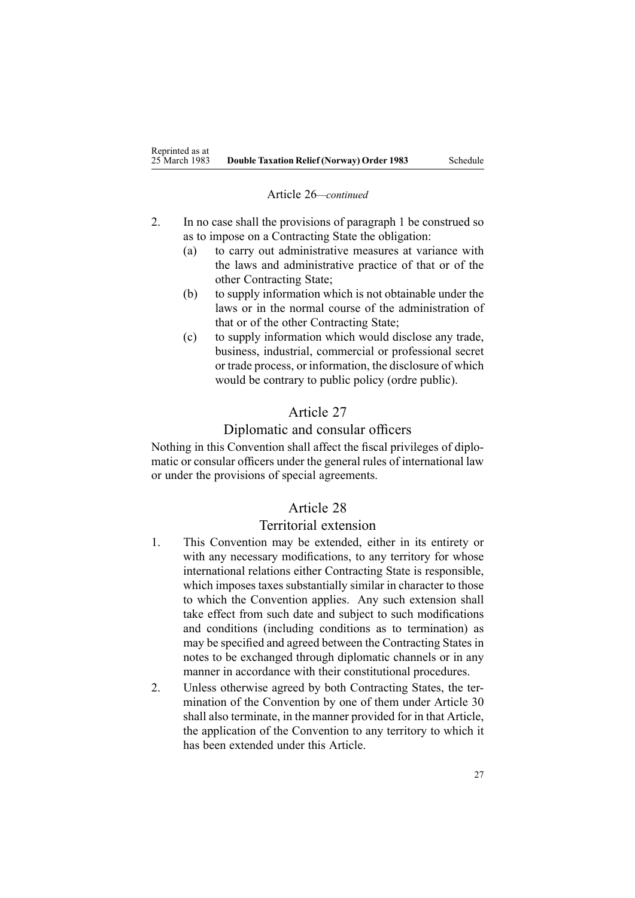#### Article 26*—continued*

- 2. In no case shall the provisions of paragraph 1 be construed so as to impose on <sup>a</sup> Contracting State the obligation:
	- (a) to carry out administrative measures at variance with the laws and administrative practice of that or of the other Contracting State;
	- (b) to supply information which is not obtainable under the laws or in the normal course of the administration of that or of the other Contracting State;
	- (c) to supply information which would disclose any trade, business, industrial, commercial or professional secret or trade process, or information, the disclosure of which would be contrary to public policy (ordre public).

### Article 27

### Diplomatic and consular officers

Nothing in this Convention shall affect the fiscal privileges of diplomatic or consular officers under the general rules of international law or under the provisions of special agreements.

# Article 28

#### Territorial extension

- 1. This Convention may be extended, either in its entirety or with any necessary modifications, to any territory for whose international relations either Contracting State is responsible, which imposes taxes substantially similar in character to those to which the Convention applies. Any such extension shall take effect from such date and subject to such modifications and conditions (including conditions as to termination) as may be specified and agreed between the Contracting States in notes to be exchanged through diplomatic channels or in any manner in accordance with their constitutional procedures.
- 2. Unless otherwise agreed by both Contracting States, the termination of the Convention by one of them under Article 30 shall also terminate, in the manner provided for in that Article, the application of the Convention to any territory to which it has been extended under this Article.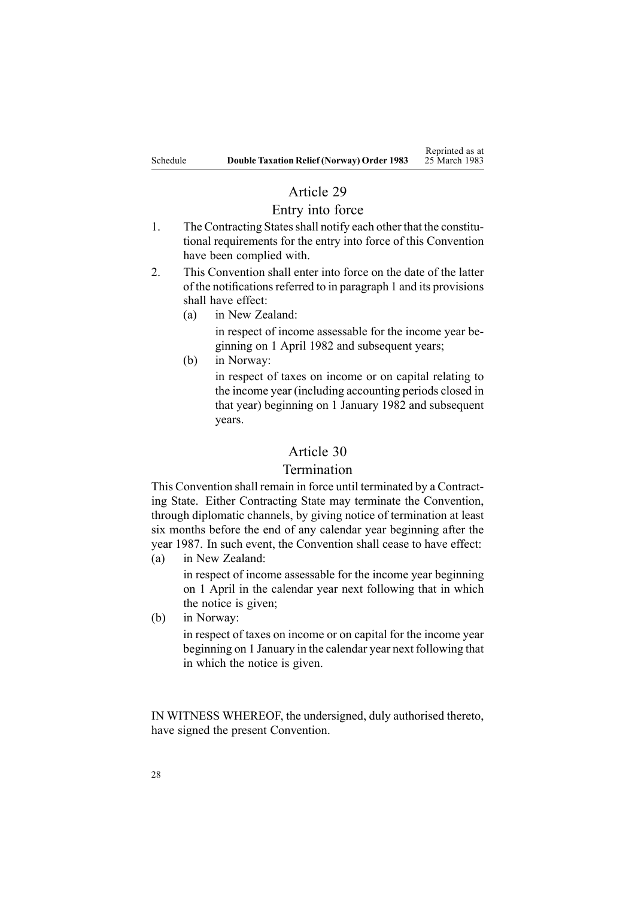# Article 29

# Entry into force

- 1. The Contracting States shall notify each other that the constitutional requirements for the entry into force of this Convention have been complied with.
- 2. This Convention shall enter into force on the date of the latter of the notificationsreferred to in paragraph 1 and its provisions shall have effect:
	- (a) in New Zealand:

in respec<sup>t</sup> of income assessable for the income year beginning on 1 April 1982 and subsequent years;

(b) in Norway:

in respec<sup>t</sup> of taxes on income or on capital relating to the income year (including accounting periods closed in that year) beginning on 1 January 1982 and subsequent years.

### Article 30

# Termination

This Convention shall remain in force until terminated by <sup>a</sup> Contracting State. Either Contracting State may terminate the Convention, through diplomatic channels, by giving notice of termination at least six months before the end of any calendar year beginning after the year 1987. In such event, the Convention shall cease to have effect: (a) in New Zealand:

in respec<sup>t</sup> of income assessable for the income year beginning on 1 April in the calendar year next following that in which the notice is given;

(b) in Norway:

in respec<sup>t</sup> of taxes on income or on capital for the income year beginning on 1 January in the calendar year next following that in which the notice is given.

IN WITNESS WHEREOF, the undersigned, duly authorised thereto, have signed the presen<sup>t</sup> Convention.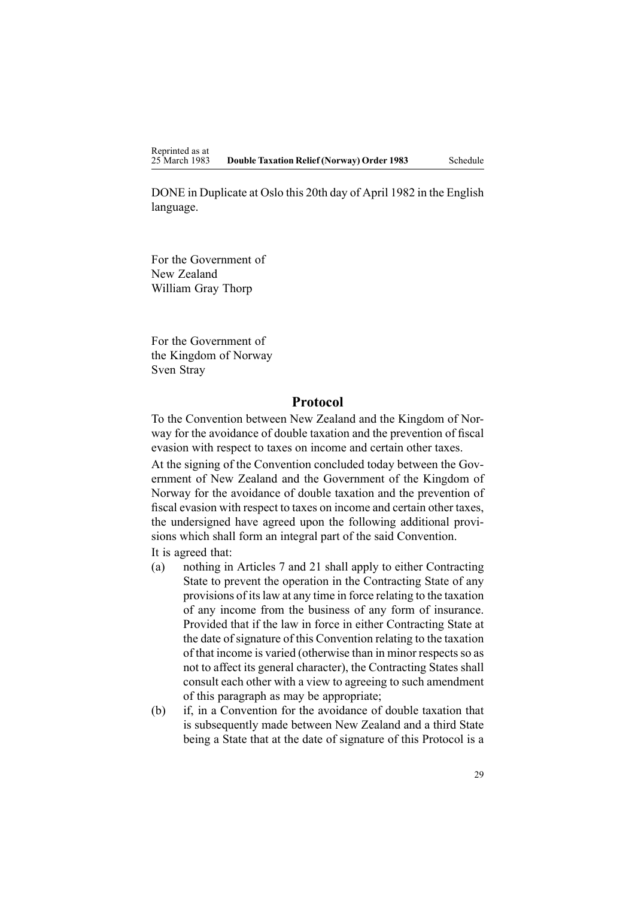DONE in Duplicate at Oslo this 20th day of April 1982 in the English language.

For the Government of New Zealand William Gray Thorp

For the Government of the Kingdom of Norway Sven Stray

### **Protocol**

To the Convention between New Zealand and the Kingdom of Norway for the avoidance of double taxation and the prevention of fiscal evasion with respec<sup>t</sup> to taxes on income and certain other taxes.

At the signing of the Convention concluded today between the Government of New Zealand and the Government of the Kingdom of Norway for the avoidance of double taxation and the prevention of fiscal evasion with respec<sup>t</sup> to taxes on income and certain other taxes, the undersigned have agreed upon the following additional provisions which shall form an integral par<sup>t</sup> of the said Convention.

It is agreed that:

- (a) nothing in Articles 7 and 21 shall apply to either Contracting State to preven<sup>t</sup> the operation in the Contracting State of any provisions of itslaw at any time in force relating to the taxation of any income from the business of any form of insurance. Provided that if the law in force in either Contracting State at the date of signature of this Convention relating to the taxation of that income is varied (otherwise than in minor respects so as not to affect its general character), the Contracting States shall consult each other with <sup>a</sup> view to agreeing to such amendment of this paragraph as may be appropriate;
- (b) if, in <sup>a</sup> Convention for the avoidance of double taxation that is subsequently made between New Zealand and <sup>a</sup> third State being <sup>a</sup> State that at the date of signature of this Protocol is <sup>a</sup>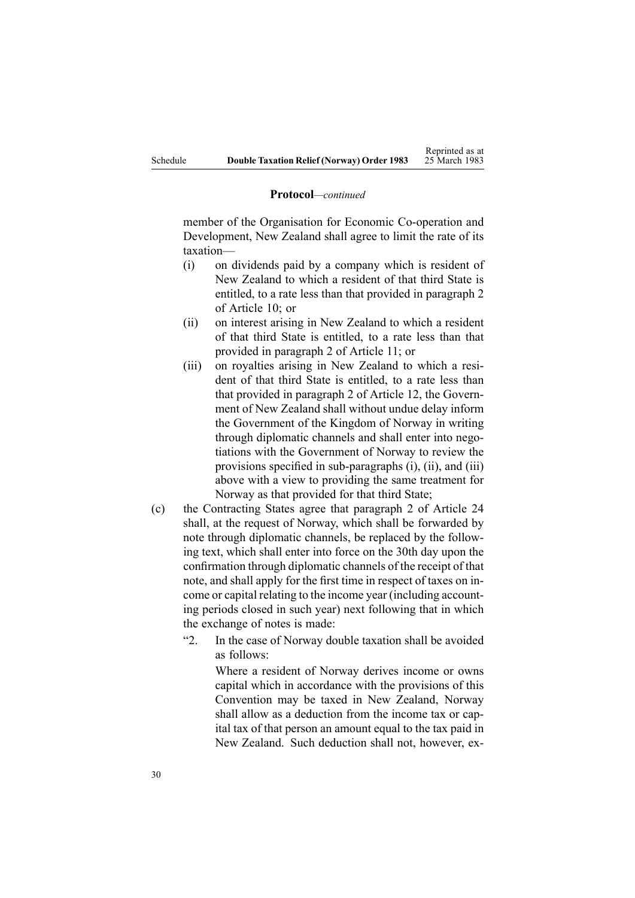#### **Protocol***—continued*

member of the Organisation for Economic Co-operation and Development, New Zealand shall agree to limit the rate of its taxation—

- (i) on dividends paid by <sup>a</sup> company which is resident of New Zealand to which <sup>a</sup> resident of that third State is entitled, to <sup>a</sup> rate less than that provided in paragraph 2 of Article 10; or
- (ii) on interest arising in New Zealand to which <sup>a</sup> resident of that third State is entitled, to <sup>a</sup> rate less than that provided in paragraph 2 of Article 11; or
- (iii) on royalties arising in New Zealand to which <sup>a</sup> resident of that third State is entitled, to <sup>a</sup> rate less than that provided in paragraph 2 of Article 12, the Government of New Zealand shall without undue delay inform the Government of the Kingdom of Norway in writing through diplomatic channels and shall enter into negotiations with the Government of Norway to review the provisions specified in sub-paragraphs (i), (ii), and (iii) above with <sup>a</sup> view to providing the same treatment for Norway as that provided for that third State;
- (c) the Contracting States agree that paragraph 2 of Article 24 shall, at the reques<sup>t</sup> of Norway, which shall be forwarded by note through diplomatic channels, be replaced by the following text, which shall enter into force on the 30th day upon the confirmation through diplomatic channels of the receipt of that note, and shall apply for the first time in respec<sup>t</sup> of taxes on income or capital relating to the income year (including accounting periods closed in such year) next following that in which the exchange of notes is made:
	- "2. In the case of Norway double taxation shall be avoided as follows:

Where <sup>a</sup> resident of Norway derives income or owns capital which in accordance with the provisions of this Convention may be taxed in New Zealand, Norway shall allow as <sup>a</sup> deduction from the income tax or capital tax of that person an amount equal to the tax paid in New Zealand. Such deduction shall not, however, ex-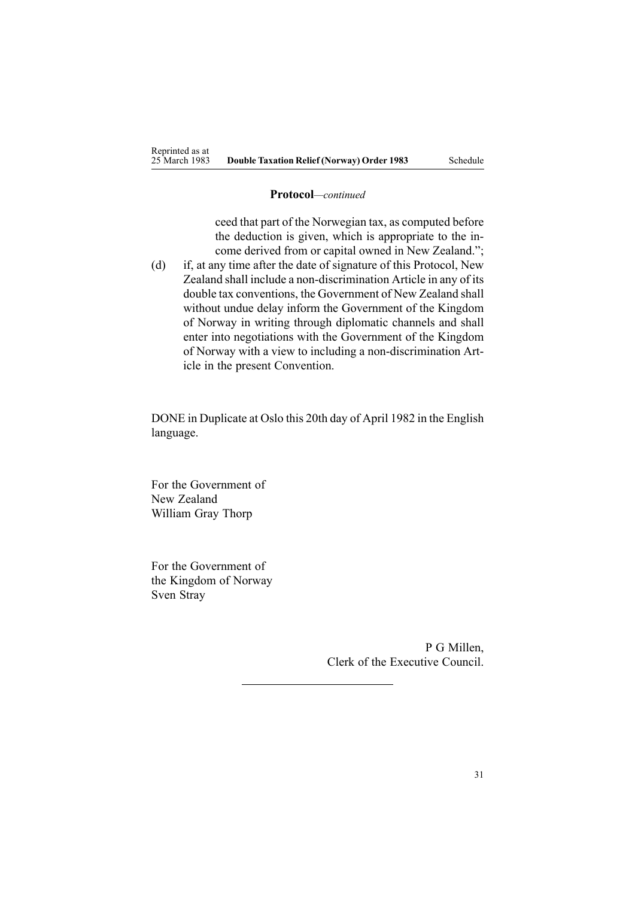#### **Protocol***—continued*

ceed that par<sup>t</sup> of the Norwegian tax, as computed before the deduction is given, which is appropriate to the income derived from or capital owned in New Zealand.";

(d) if, at any time after the date of signature of this Protocol, New Zealand shall include <sup>a</sup> non-discrimination Article in any of its double tax conventions, the Government of New Zealand shall without undue delay inform the Government of the Kingdom of Norway in writing through diplomatic channels and shall enter into negotiations with the Government of the Kingdom of Norway with <sup>a</sup> view to including <sup>a</sup> non-discrimination Article in the presen<sup>t</sup> Convention.

DONE in Duplicate at Oslo this 20th day of April 1982 in the English language.

For the Government of New Zealand William Gray Thorp

For the Government of the Kingdom of Norway Sven Stray

> P G Millen, Clerk of the Executive Council.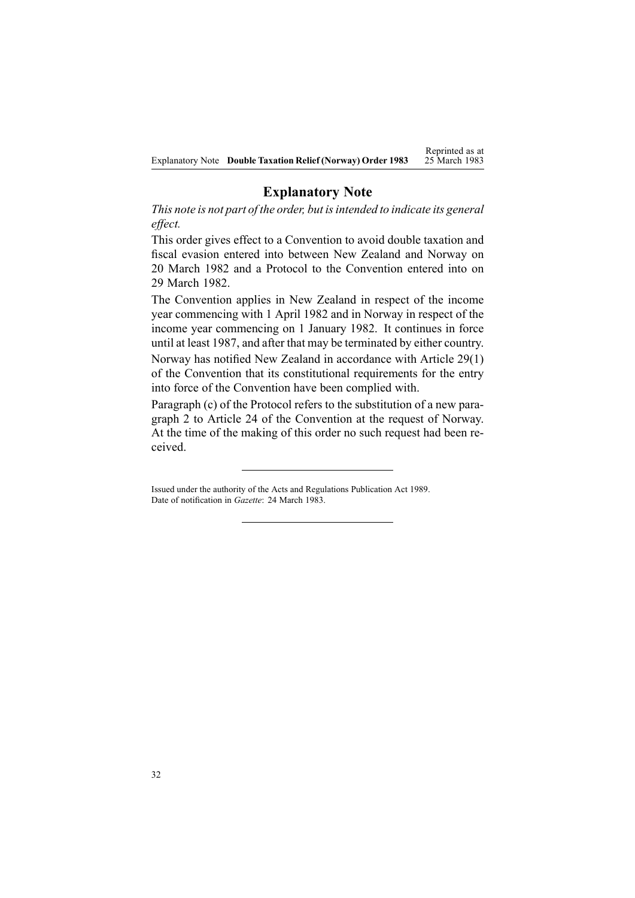|                                                                    | Reprinted as at |
|--------------------------------------------------------------------|-----------------|
| <b>Explanatory Note</b> Double Taxation Relief (Norway) Order 1983 | 25 March 1983   |

### **Explanatory Note**

*This note is not par<sup>t</sup> of the order, but isintended to indicate its general effect.*

This order gives effect to <sup>a</sup> Convention to avoid double taxation and fiscal evasion entered into between New Zealand and Norway on 20 March 1982 and <sup>a</sup> Protocol to the Convention entered into on 29 March 1982.

The Convention applies in New Zealand in respec<sup>t</sup> of the income year commencing with 1 April 1982 and in Norway in respec<sup>t</sup> of the income year commencing on 1 January 1982. It continues in force until at least 1987, and after that may be terminated by either country. Norway has notified New Zealand in accordance with Article 29(1) of the Convention that its constitutional requirements for the entry into force of the Convention have been complied with.

Paragraph (c) of the Protocol refers to the substitution of <sup>a</sup> new paragraph 2 to Article 24 of the Convention at the reques<sup>t</sup> of Norway. At the time of the making of this order no such reques<sup>t</sup> had been received.

Issued under the authority of the Acts and [Regulations](http://www.legislation.govt.nz/pdflink.aspx?id=DLM195401) Publication Act 1989. Date of notification in *Gazette*: 24 March 1983.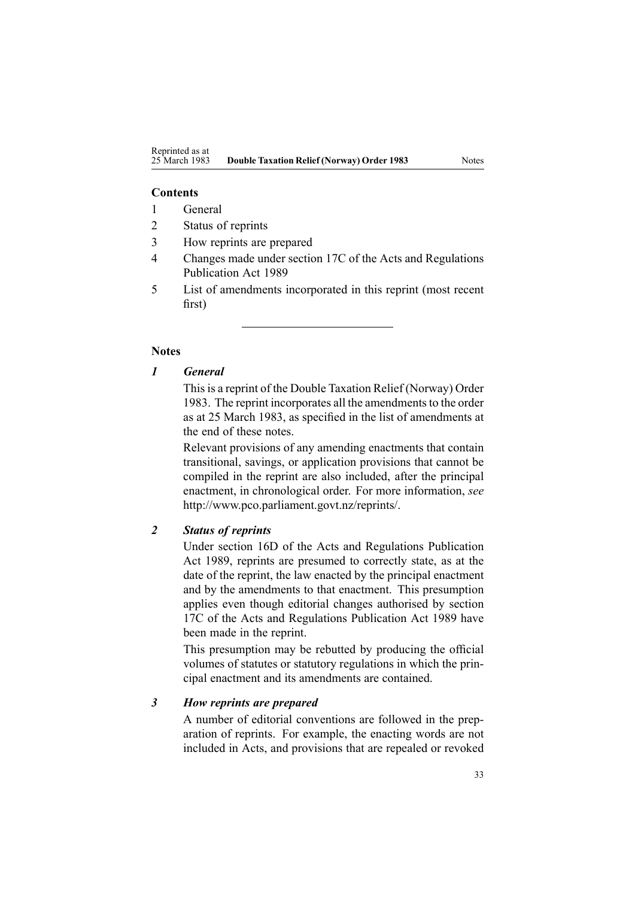# **Contents**

- 1 General
- 2 Status of reprints
- 3 How reprints are prepared
- 4 Changes made under section 17C of the Acts and Regulations Publication Act 1989
- 5 List of amendments incorporated in this reprint (most recent first)

#### **Notes**

#### *1 General*

This is a reprint of the Double Taxation Relief (Norway) Order 1983. The reprint incorporates all the amendments to the order as at 25 March 1983, as specified in the list of amendments at the end of these notes.

Relevant provisions of any amending enactments that contain transitional, savings, or application provisions that cannot be compiled in the reprint are also included, after the principal enactment, in chronological order. For more information, *see* <http://www.pco.parliament.govt.nz/reprints/>.

### *2 Status of reprints*

Under [section](http://www.legislation.govt.nz/pdflink.aspx?id=DLM195439) 16D of the Acts and Regulations Publication Act 1989, reprints are presumed to correctly state, as at the date of the reprint, the law enacted by the principal enactment and by the amendments to that enactment. This presumption applies even though editorial changes authorised by [section](http://www.legislation.govt.nz/pdflink.aspx?id=DLM195466) [17C](http://www.legislation.govt.nz/pdflink.aspx?id=DLM195466) of the Acts and Regulations Publication Act 1989 have been made in the reprint.

This presumption may be rebutted by producing the official volumes of statutes or statutory regulations in which the principal enactment and its amendments are contained.

#### *3 How reprints are prepared*

A number of editorial conventions are followed in the preparation of reprints. For example, the enacting words are not included in Acts, and provisions that are repealed or revoked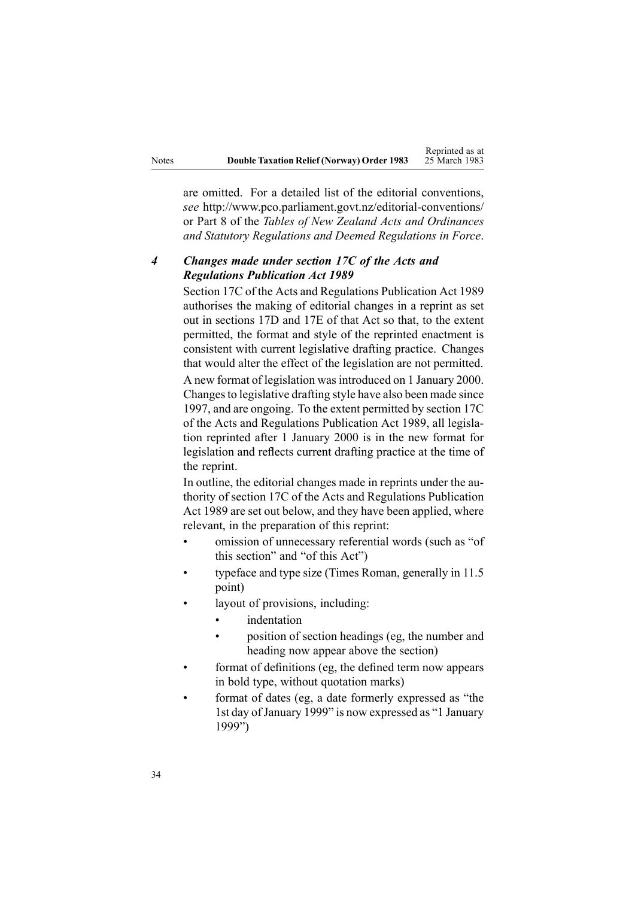are omitted. For <sup>a</sup> detailed list of the editorial conventions, *see* [http://www.pco.parliament.govt.nz/editorial-conventions/](http://www.pco.parliament.govt.nz/editorial-conventions/ ) or Part 8 of the *Tables of New Zealand Acts and Ordinances and Statutory Regulations and Deemed Regulations in Force*.

### *4 Changes made under section 17C of the Acts and Regulations Publication Act 1989*

[Section](http://www.legislation.govt.nz/pdflink.aspx?id=DLM195466) 17C of the Acts and Regulations Publication Act 1989 authorises the making of editorial changes in <sup>a</sup> reprint as set out in [sections](http://www.legislation.govt.nz/pdflink.aspx?id=DLM195468) 17D and [17E](http://www.legislation.govt.nz/pdflink.aspx?id=DLM195470) of that Act so that, to the extent permitted, the format and style of the reprinted enactment is consistent with current legislative drafting practice. Changes that would alter the effect of the legislation are not permitted.

A new format of legislation wasintroduced on 1 January 2000. Changesto legislative drafting style have also been made since 1997, and are ongoing. To the extent permitted by [section](http://www.legislation.govt.nz/pdflink.aspx?id=DLM195466) 17C of the Acts and Regulations Publication Act 1989, all legislation reprinted after 1 January 2000 is in the new format for legislation and reflects current drafting practice at the time of the reprint.

In outline, the editorial changes made in reprints under the authority of [section](http://www.legislation.govt.nz/pdflink.aspx?id=DLM195466) 17C of the Acts and Regulations Publication Act 1989 are set out below, and they have been applied, where relevant, in the preparation of this reprint:

- • omission of unnecessary referential words (such as "of this section" and "of this Act")
- • typeface and type size (Times Roman, generally in 11.5 point)
- • layout of provisions, including:
	- •indentation
	- • position of section headings (eg, the number and heading now appear above the section)
- • format of definitions (eg, the defined term now appears in bold type, without quotation marks)
- • format of dates (eg, <sup>a</sup> date formerly expressed as "the 1st day ofJanuary 1999" is now expressed as "1 January 1999")